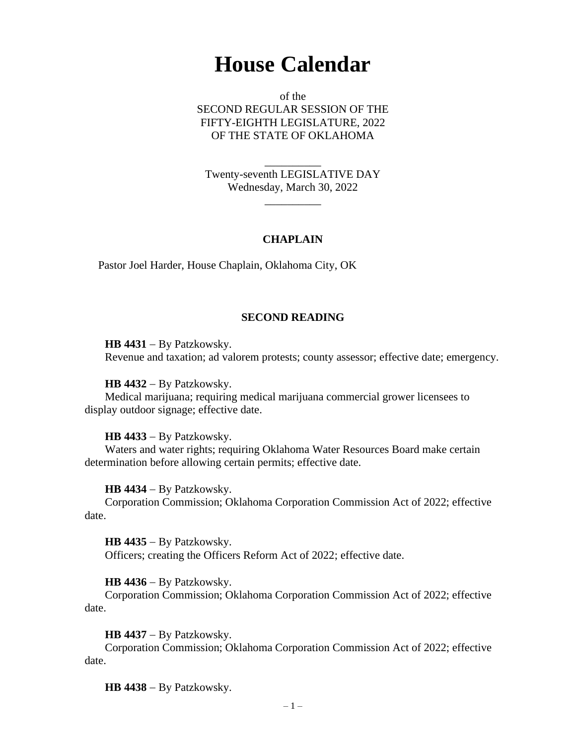# **House Calendar**

of the SECOND REGULAR SESSION OF THE FIFTY-EIGHTH LEGISLATURE, 2022 OF THE STATE OF OKLAHOMA

Twenty-seventh LEGISLATIVE DAY Wednesday, March 30, 2022

 $\overline{\phantom{a}}$ 

\_\_\_\_\_\_\_\_\_\_

## **CHAPLAIN**

Pastor Joel Harder, House Chaplain, Oklahoma City, OK

#### **SECOND READING**

**HB 4431** − By Patzkowsky. Revenue and taxation; ad valorem protests; county assessor; effective date; emergency.

**HB 4432** − By Patzkowsky.

Medical marijuana; requiring medical marijuana commercial grower licensees to display outdoor signage; effective date.

**HB 4433** − By Patzkowsky.

Waters and water rights; requiring Oklahoma Water Resources Board make certain determination before allowing certain permits; effective date.

**HB 4434** − By Patzkowsky.

Corporation Commission; Oklahoma Corporation Commission Act of 2022; effective date.

**HB 4435** − By Patzkowsky. Officers; creating the Officers Reform Act of 2022; effective date.

**HB 4436** − By Patzkowsky.

Corporation Commission; Oklahoma Corporation Commission Act of 2022; effective date.

**HB 4437** − By Patzkowsky.

Corporation Commission; Oklahoma Corporation Commission Act of 2022; effective date.

**HB 4438** − By Patzkowsky.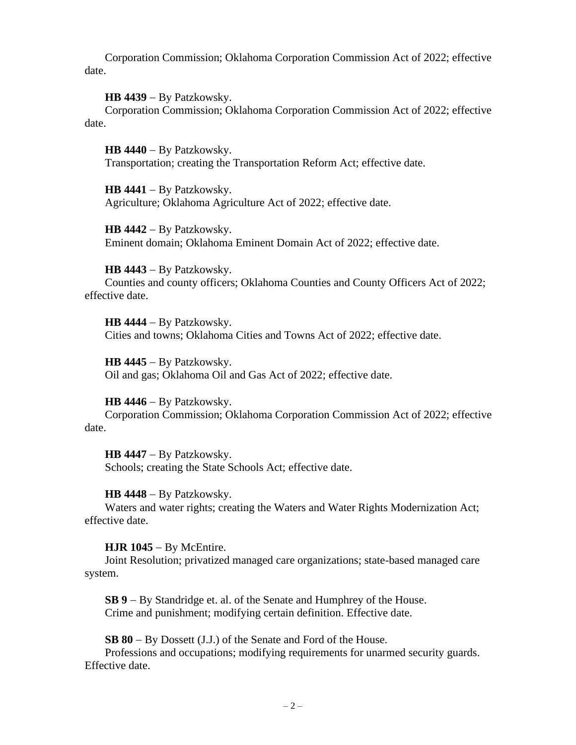Corporation Commission; Oklahoma Corporation Commission Act of 2022; effective date.

**HB 4439** − By Patzkowsky.

Corporation Commission; Oklahoma Corporation Commission Act of 2022; effective date.

**HB 4440** − By Patzkowsky. Transportation; creating the Transportation Reform Act; effective date.

**HB 4441** − By Patzkowsky. Agriculture; Oklahoma Agriculture Act of 2022; effective date.

**HB 4442** − By Patzkowsky. Eminent domain; Oklahoma Eminent Domain Act of 2022; effective date.

**HB 4443** − By Patzkowsky. Counties and county officers; Oklahoma Counties and County Officers Act of 2022; effective date.

**HB 4444** − By Patzkowsky. Cities and towns; Oklahoma Cities and Towns Act of 2022; effective date.

**HB 4445** − By Patzkowsky. Oil and gas; Oklahoma Oil and Gas Act of 2022; effective date.

**HB 4446** − By Patzkowsky. Corporation Commission; Oklahoma Corporation Commission Act of 2022; effective date.

**HB 4447** − By Patzkowsky. Schools; creating the State Schools Act; effective date.

**HB 4448** − By Patzkowsky. Waters and water rights; creating the Waters and Water Rights Modernization Act; effective date.

**HJR 1045** − By McEntire.

Joint Resolution; privatized managed care organizations; state-based managed care system.

**SB 9** − By Standridge et. al. of the Senate and Humphrey of the House. Crime and punishment; modifying certain definition. Effective date.

**SB 80** − By Dossett (J.J.) of the Senate and Ford of the House.

Professions and occupations; modifying requirements for unarmed security guards. Effective date.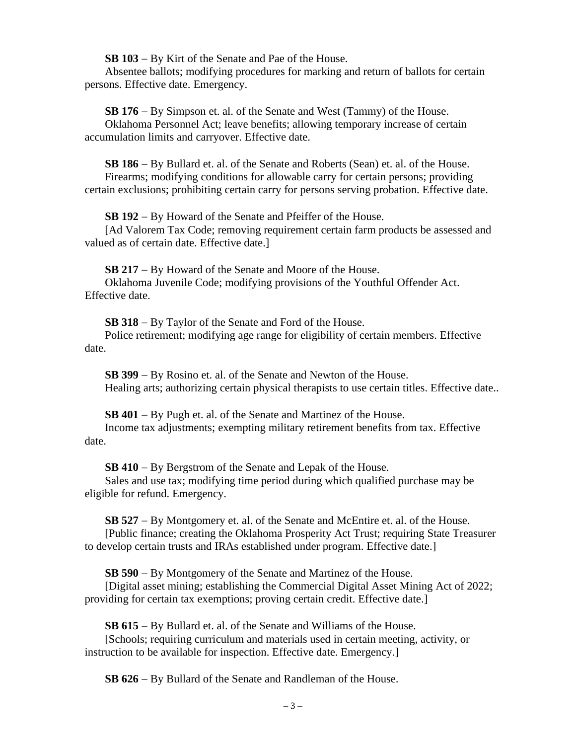**SB 103** − By Kirt of the Senate and Pae of the House.

Absentee ballots; modifying procedures for marking and return of ballots for certain persons. Effective date. Emergency.

**SB 176** − By Simpson et. al. of the Senate and West (Tammy) of the House. Oklahoma Personnel Act; leave benefits; allowing temporary increase of certain accumulation limits and carryover. Effective date.

**SB 186** − By Bullard et. al. of the Senate and Roberts (Sean) et. al. of the House. Firearms; modifying conditions for allowable carry for certain persons; providing certain exclusions; prohibiting certain carry for persons serving probation. Effective date.

**SB 192** − By Howard of the Senate and Pfeiffer of the House.

[Ad Valorem Tax Code; removing requirement certain farm products be assessed and valued as of certain date. Effective date.]

**SB 217** − By Howard of the Senate and Moore of the House. Oklahoma Juvenile Code; modifying provisions of the Youthful Offender Act. Effective date.

**SB 318** − By Taylor of the Senate and Ford of the House. Police retirement; modifying age range for eligibility of certain members. Effective date.

**SB 399** − By Rosino et. al. of the Senate and Newton of the House. Healing arts; authorizing certain physical therapists to use certain titles. Effective date..

**SB 401** − By Pugh et. al. of the Senate and Martinez of the House. Income tax adjustments; exempting military retirement benefits from tax. Effective date.

**SB 410** − By Bergstrom of the Senate and Lepak of the House.

Sales and use tax; modifying time period during which qualified purchase may be eligible for refund. Emergency.

**SB 527** − By Montgomery et. al. of the Senate and McEntire et. al. of the House.

[Public finance; creating the Oklahoma Prosperity Act Trust; requiring State Treasurer to develop certain trusts and IRAs established under program. Effective date.]

**SB 590** − By Montgomery of the Senate and Martinez of the House.

[Digital asset mining; establishing the Commercial Digital Asset Mining Act of 2022; providing for certain tax exemptions; proving certain credit. Effective date.]

**SB 615** − By Bullard et. al. of the Senate and Williams of the House.

[Schools; requiring curriculum and materials used in certain meeting, activity, or instruction to be available for inspection. Effective date. Emergency.]

**SB 626** − By Bullard of the Senate and Randleman of the House.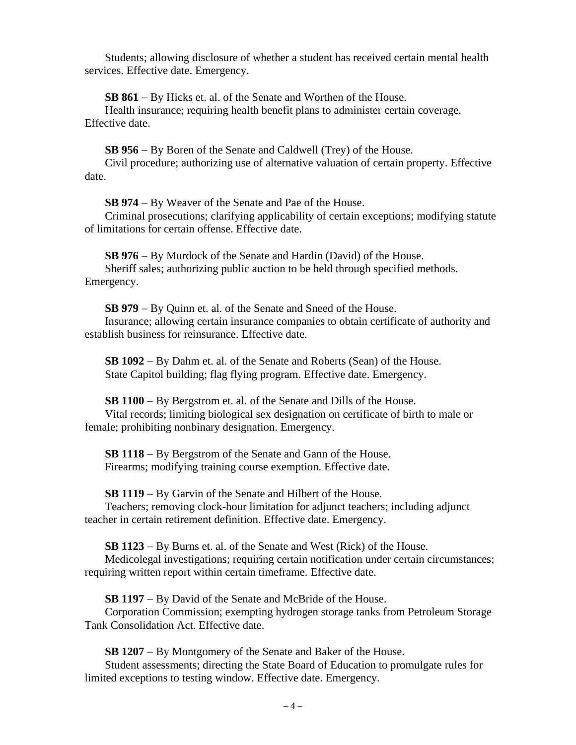Students; allowing disclosure of whether a student has received certain mental health services. Effective date. Emergency.

**SB 861** − By Hicks et. al. of the Senate and Worthen of the House.

Health insurance; requiring health benefit plans to administer certain coverage. Effective date.

**SB 956** − By Boren of the Senate and Caldwell (Trey) of the House.

Civil procedure; authorizing use of alternative valuation of certain property. Effective date.

**SB 974** − By Weaver of the Senate and Pae of the House.

Criminal prosecutions; clarifying applicability of certain exceptions; modifying statute of limitations for certain offense. Effective date.

**SB 976** − By Murdock of the Senate and Hardin (David) of the House. Sheriff sales; authorizing public auction to be held through specified methods. Emergency.

**SB 979** − By Quinn et. al. of the Senate and Sneed of the House. Insurance; allowing certain insurance companies to obtain certificate of authority and establish business for reinsurance. Effective date.

**SB 1092** − By Dahm et. al. of the Senate and Roberts (Sean) of the House. State Capitol building; flag flying program. Effective date. Emergency.

**SB 1100** − By Bergstrom et. al. of the Senate and Dills of the House. Vital records; limiting biological sex designation on certificate of birth to male or female; prohibiting nonbinary designation. Emergency.

**SB 1118** − By Bergstrom of the Senate and Gann of the House. Firearms; modifying training course exemption. Effective date.

**SB 1119** − By Garvin of the Senate and Hilbert of the House.

Teachers; removing clock-hour limitation for adjunct teachers; including adjunct teacher in certain retirement definition. Effective date. Emergency.

**SB 1123** − By Burns et. al. of the Senate and West (Rick) of the House.

Medicolegal investigations; requiring certain notification under certain circumstances; requiring written report within certain timeframe. Effective date.

**SB 1197** − By David of the Senate and McBride of the House.

Corporation Commission; exempting hydrogen storage tanks from Petroleum Storage Tank Consolidation Act. Effective date.

**SB 1207** − By Montgomery of the Senate and Baker of the House.

Student assessments; directing the State Board of Education to promulgate rules for limited exceptions to testing window. Effective date. Emergency.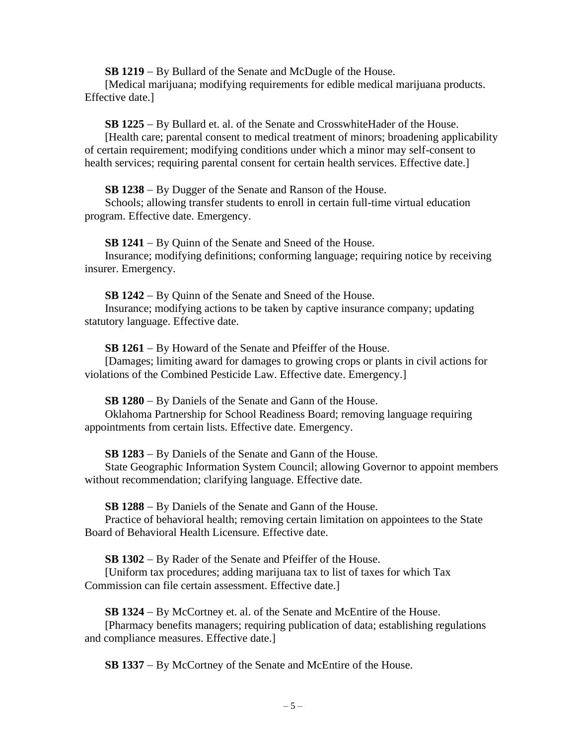**SB 1219** − By Bullard of the Senate and McDugle of the House.

[Medical marijuana; modifying requirements for edible medical marijuana products. Effective date.]

**SB 1225** − By Bullard et. al. of the Senate and CrosswhiteHader of the House.

[Health care; parental consent to medical treatment of minors; broadening applicability of certain requirement; modifying conditions under which a minor may self-consent to health services; requiring parental consent for certain health services. Effective date.

**SB 1238** − By Dugger of the Senate and Ranson of the House.

Schools; allowing transfer students to enroll in certain full-time virtual education program. Effective date. Emergency.

**SB 1241** − By Quinn of the Senate and Sneed of the House. Insurance; modifying definitions; conforming language; requiring notice by receiving

insurer. Emergency.

**SB 1242** − By Quinn of the Senate and Sneed of the House. Insurance; modifying actions to be taken by captive insurance company; updating statutory language. Effective date.

**SB 1261** − By Howard of the Senate and Pfeiffer of the House.

[Damages; limiting award for damages to growing crops or plants in civil actions for violations of the Combined Pesticide Law. Effective date. Emergency.]

**SB 1280** − By Daniels of the Senate and Gann of the House.

Oklahoma Partnership for School Readiness Board; removing language requiring appointments from certain lists. Effective date. Emergency.

**SB 1283** − By Daniels of the Senate and Gann of the House.

State Geographic Information System Council; allowing Governor to appoint members without recommendation; clarifying language. Effective date.

**SB 1288** − By Daniels of the Senate and Gann of the House.

Practice of behavioral health; removing certain limitation on appointees to the State Board of Behavioral Health Licensure. Effective date.

**SB 1302** − By Rader of the Senate and Pfeiffer of the House.

[Uniform tax procedures; adding marijuana tax to list of taxes for which Tax Commission can file certain assessment. Effective date.]

**SB 1324** − By McCortney et. al. of the Senate and McEntire of the House.

[Pharmacy benefits managers; requiring publication of data; establishing regulations and compliance measures. Effective date.]

**SB 1337** − By McCortney of the Senate and McEntire of the House.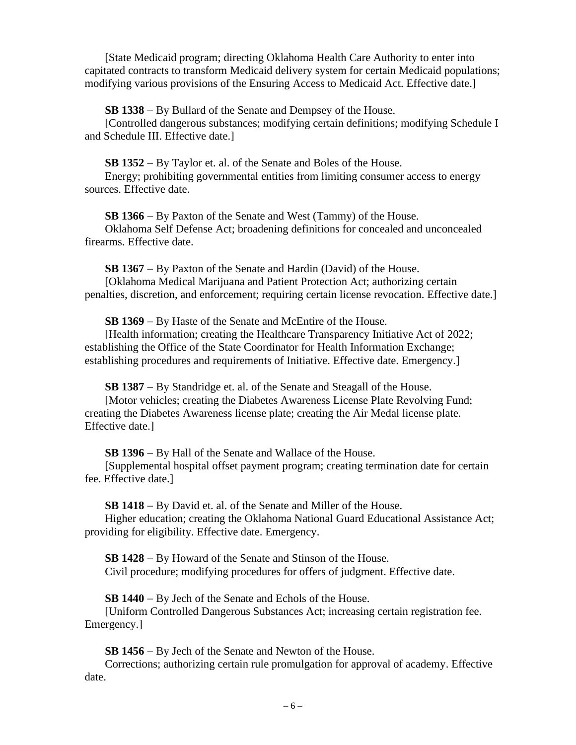[State Medicaid program; directing Oklahoma Health Care Authority to enter into capitated contracts to transform Medicaid delivery system for certain Medicaid populations; modifying various provisions of the Ensuring Access to Medicaid Act. Effective date.]

**SB 1338** − By Bullard of the Senate and Dempsey of the House.

[Controlled dangerous substances; modifying certain definitions; modifying Schedule I and Schedule III. Effective date.]

**SB 1352** − By Taylor et. al. of the Senate and Boles of the House.

Energy; prohibiting governmental entities from limiting consumer access to energy sources. Effective date.

**SB 1366** − By Paxton of the Senate and West (Tammy) of the House. Oklahoma Self Defense Act; broadening definitions for concealed and unconcealed firearms. Effective date.

**SB 1367** − By Paxton of the Senate and Hardin (David) of the House. [Oklahoma Medical Marijuana and Patient Protection Act; authorizing certain penalties, discretion, and enforcement; requiring certain license revocation. Effective date.]

**SB 1369** − By Haste of the Senate and McEntire of the House.

[Health information; creating the Healthcare Transparency Initiative Act of 2022; establishing the Office of the State Coordinator for Health Information Exchange; establishing procedures and requirements of Initiative. Effective date. Emergency.]

**SB 1387** − By Standridge et. al. of the Senate and Steagall of the House.

[Motor vehicles; creating the Diabetes Awareness License Plate Revolving Fund; creating the Diabetes Awareness license plate; creating the Air Medal license plate. Effective date.]

**SB 1396** − By Hall of the Senate and Wallace of the House.

[Supplemental hospital offset payment program; creating termination date for certain fee. Effective date.]

**SB 1418** − By David et. al. of the Senate and Miller of the House.

Higher education; creating the Oklahoma National Guard Educational Assistance Act; providing for eligibility. Effective date. Emergency.

**SB 1428** − By Howard of the Senate and Stinson of the House. Civil procedure; modifying procedures for offers of judgment. Effective date.

**SB 1440** − By Jech of the Senate and Echols of the House.

[Uniform Controlled Dangerous Substances Act; increasing certain registration fee. Emergency.]

**SB 1456** − By Jech of the Senate and Newton of the House.

Corrections; authorizing certain rule promulgation for approval of academy. Effective date.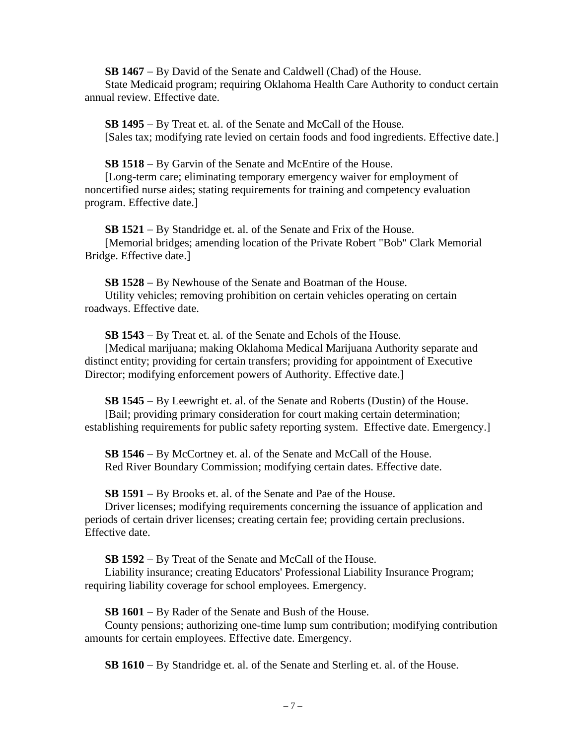**SB 1467** − By David of the Senate and Caldwell (Chad) of the House.

State Medicaid program; requiring Oklahoma Health Care Authority to conduct certain annual review. Effective date.

**SB 1495** − By Treat et. al. of the Senate and McCall of the House. [Sales tax; modifying rate levied on certain foods and food ingredients. Effective date.]

**SB 1518** − By Garvin of the Senate and McEntire of the House.

[Long-term care; eliminating temporary emergency waiver for employment of noncertified nurse aides; stating requirements for training and competency evaluation program. Effective date.]

**SB 1521** − By Standridge et. al. of the Senate and Frix of the House. [Memorial bridges; amending location of the Private Robert "Bob" Clark Memorial Bridge. Effective date.]

**SB 1528** − By Newhouse of the Senate and Boatman of the House. Utility vehicles; removing prohibition on certain vehicles operating on certain roadways. Effective date.

**SB 1543** − By Treat et. al. of the Senate and Echols of the House.

[Medical marijuana; making Oklahoma Medical Marijuana Authority separate and distinct entity; providing for certain transfers; providing for appointment of Executive Director; modifying enforcement powers of Authority. Effective date.]

**SB 1545** − By Leewright et. al. of the Senate and Roberts (Dustin) of the House. [Bail; providing primary consideration for court making certain determination; establishing requirements for public safety reporting system. Effective date. Emergency.]

**SB 1546** − By McCortney et. al. of the Senate and McCall of the House. Red River Boundary Commission; modifying certain dates. Effective date.

**SB 1591** − By Brooks et. al. of the Senate and Pae of the House.

Driver licenses; modifying requirements concerning the issuance of application and periods of certain driver licenses; creating certain fee; providing certain preclusions. Effective date.

**SB 1592** − By Treat of the Senate and McCall of the House.

Liability insurance; creating Educators' Professional Liability Insurance Program; requiring liability coverage for school employees. Emergency.

**SB 1601** − By Rader of the Senate and Bush of the House.

County pensions; authorizing one-time lump sum contribution; modifying contribution amounts for certain employees. Effective date. Emergency.

**SB 1610** − By Standridge et. al. of the Senate and Sterling et. al. of the House.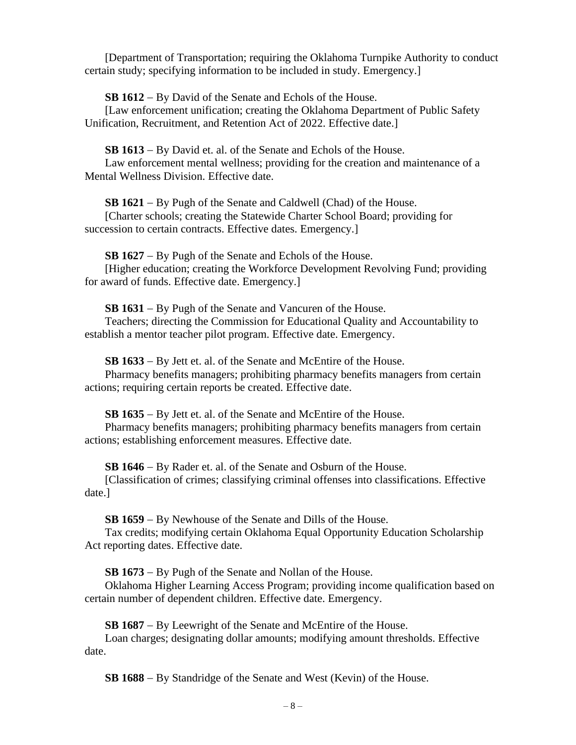[Department of Transportation; requiring the Oklahoma Turnpike Authority to conduct certain study; specifying information to be included in study. Emergency.]

**SB 1612** − By David of the Senate and Echols of the House.

[Law enforcement unification; creating the Oklahoma Department of Public Safety Unification, Recruitment, and Retention Act of 2022. Effective date.]

**SB 1613** − By David et. al. of the Senate and Echols of the House.

Law enforcement mental wellness; providing for the creation and maintenance of a Mental Wellness Division. Effective date.

**SB 1621** − By Pugh of the Senate and Caldwell (Chad) of the House.

[Charter schools; creating the Statewide Charter School Board; providing for succession to certain contracts. Effective dates. Emergency.

**SB 1627** − By Pugh of the Senate and Echols of the House.

[Higher education; creating the Workforce Development Revolving Fund; providing for award of funds. Effective date. Emergency.]

**SB 1631** − By Pugh of the Senate and Vancuren of the House.

Teachers; directing the Commission for Educational Quality and Accountability to establish a mentor teacher pilot program. Effective date. Emergency.

**SB 1633** − By Jett et. al. of the Senate and McEntire of the House.

Pharmacy benefits managers; prohibiting pharmacy benefits managers from certain actions; requiring certain reports be created. Effective date.

**SB 1635** − By Jett et. al. of the Senate and McEntire of the House.

Pharmacy benefits managers; prohibiting pharmacy benefits managers from certain actions; establishing enforcement measures. Effective date.

**SB 1646** − By Rader et. al. of the Senate and Osburn of the House.

[Classification of crimes; classifying criminal offenses into classifications. Effective date.]

**SB 1659** − By Newhouse of the Senate and Dills of the House.

Tax credits; modifying certain Oklahoma Equal Opportunity Education Scholarship Act reporting dates. Effective date.

**SB 1673** − By Pugh of the Senate and Nollan of the House.

Oklahoma Higher Learning Access Program; providing income qualification based on certain number of dependent children. Effective date. Emergency.

**SB 1687** − By Leewright of the Senate and McEntire of the House.

Loan charges; designating dollar amounts; modifying amount thresholds. Effective date.

**SB 1688** − By Standridge of the Senate and West (Kevin) of the House.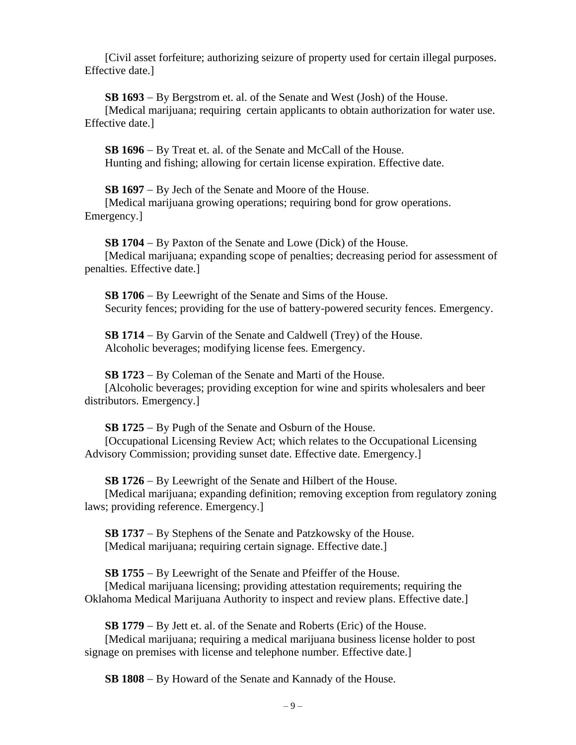[Civil asset forfeiture; authorizing seizure of property used for certain illegal purposes. Effective date.]

**SB 1693** − By Bergstrom et. al. of the Senate and West (Josh) of the House.

[Medical marijuana; requiring certain applicants to obtain authorization for water use. Effective date.]

**SB 1696** − By Treat et. al. of the Senate and McCall of the House. Hunting and fishing; allowing for certain license expiration. Effective date.

**SB 1697** − By Jech of the Senate and Moore of the House. [Medical marijuana growing operations; requiring bond for grow operations.

Emergency.]

**SB 1704** − By Paxton of the Senate and Lowe (Dick) of the House. [Medical marijuana; expanding scope of penalties; decreasing period for assessment of penalties. Effective date.]

**SB 1706** − By Leewright of the Senate and Sims of the House. Security fences; providing for the use of battery-powered security fences. Emergency.

**SB 1714** − By Garvin of the Senate and Caldwell (Trey) of the House. Alcoholic beverages; modifying license fees. Emergency.

**SB 1723** − By Coleman of the Senate and Marti of the House. [Alcoholic beverages; providing exception for wine and spirits wholesalers and beer distributors. Emergency.]

**SB 1725** − By Pugh of the Senate and Osburn of the House. [Occupational Licensing Review Act; which relates to the Occupational Licensing Advisory Commission; providing sunset date. Effective date. Emergency.]

**SB 1726** − By Leewright of the Senate and Hilbert of the House.

[Medical marijuana; expanding definition; removing exception from regulatory zoning laws; providing reference. Emergency.]

**SB 1737** − By Stephens of the Senate and Patzkowsky of the House. [Medical marijuana; requiring certain signage. Effective date.]

**SB 1755** − By Leewright of the Senate and Pfeiffer of the House. [Medical marijuana licensing; providing attestation requirements; requiring the Oklahoma Medical Marijuana Authority to inspect and review plans. Effective date.]

**SB 1779** − By Jett et. al. of the Senate and Roberts (Eric) of the House.

[Medical marijuana; requiring a medical marijuana business license holder to post signage on premises with license and telephone number. Effective date.]

**SB 1808** − By Howard of the Senate and Kannady of the House.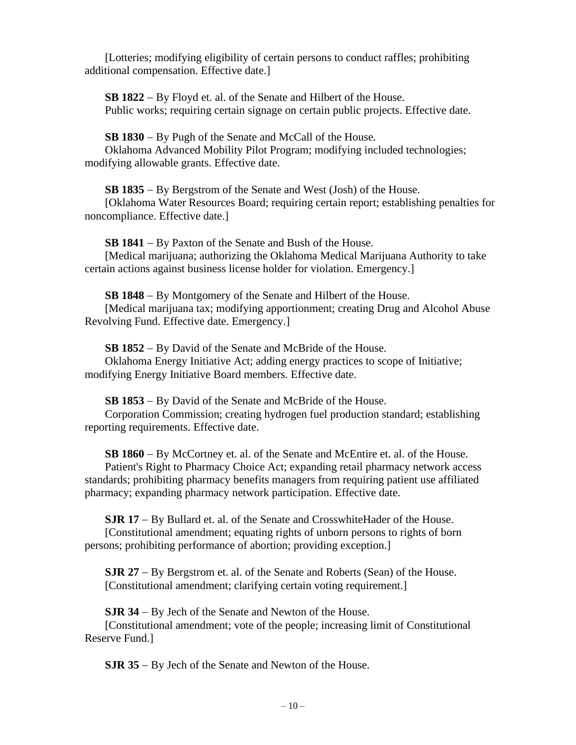[Lotteries; modifying eligibility of certain persons to conduct raffles; prohibiting additional compensation. Effective date.]

**SB 1822** − By Floyd et. al. of the Senate and Hilbert of the House. Public works; requiring certain signage on certain public projects. Effective date.

**SB 1830** − By Pugh of the Senate and McCall of the House. Oklahoma Advanced Mobility Pilot Program; modifying included technologies; modifying allowable grants. Effective date.

**SB 1835** − By Bergstrom of the Senate and West (Josh) of the House.

[Oklahoma Water Resources Board; requiring certain report; establishing penalties for noncompliance. Effective date.]

**SB 1841** − By Paxton of the Senate and Bush of the House.

[Medical marijuana; authorizing the Oklahoma Medical Marijuana Authority to take certain actions against business license holder for violation. Emergency.]

**SB 1848** − By Montgomery of the Senate and Hilbert of the House. [Medical marijuana tax; modifying apportionment; creating Drug and Alcohol Abuse Revolving Fund. Effective date. Emergency.]

**SB 1852** − By David of the Senate and McBride of the House. Oklahoma Energy Initiative Act; adding energy practices to scope of Initiative; modifying Energy Initiative Board members. Effective date.

**SB 1853** − By David of the Senate and McBride of the House.

Corporation Commission; creating hydrogen fuel production standard; establishing reporting requirements. Effective date.

**SB 1860** − By McCortney et. al. of the Senate and McEntire et. al. of the House. Patient's Right to Pharmacy Choice Act; expanding retail pharmacy network access standards; prohibiting pharmacy benefits managers from requiring patient use affiliated pharmacy; expanding pharmacy network participation. Effective date.

**SJR 17** − By Bullard et. al. of the Senate and CrosswhiteHader of the House. [Constitutional amendment; equating rights of unborn persons to rights of born

persons; prohibiting performance of abortion; providing exception.]

**SJR 27** − By Bergstrom et. al. of the Senate and Roberts (Sean) of the House. [Constitutional amendment; clarifying certain voting requirement.]

**SJR 34** − By Jech of the Senate and Newton of the House.

[Constitutional amendment; vote of the people; increasing limit of Constitutional Reserve Fund.]

**SJR 35** − By Jech of the Senate and Newton of the House.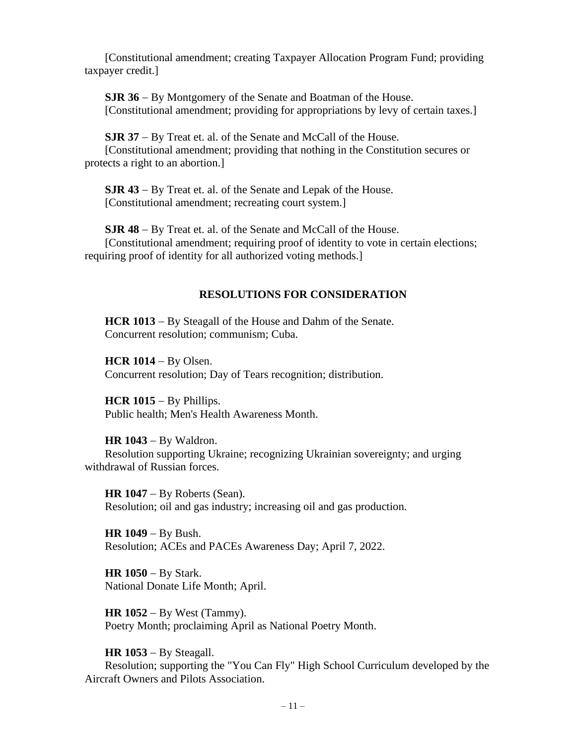[Constitutional amendment; creating Taxpayer Allocation Program Fund; providing taxpayer credit.]

**SJR 36** − By Montgomery of the Senate and Boatman of the House. [Constitutional amendment; providing for appropriations by levy of certain taxes.]

**SJR 37** − By Treat et. al. of the Senate and McCall of the House. [Constitutional amendment; providing that nothing in the Constitution secures or protects a right to an abortion.]

**SJR 43** − By Treat et. al. of the Senate and Lepak of the House. [Constitutional amendment: recreating court system.]

**SJR 48** − By Treat et. al. of the Senate and McCall of the House. [Constitutional amendment; requiring proof of identity to vote in certain elections; requiring proof of identity for all authorized voting methods.]

## **RESOLUTIONS FOR CONSIDERATION**

**HCR 1013** − By Steagall of the House and Dahm of the Senate. Concurrent resolution; communism; Cuba.

**HCR 1014** − By Olsen. Concurrent resolution; Day of Tears recognition; distribution.

**HCR 1015** − By Phillips. Public health; Men's Health Awareness Month.

**HR 1043** − By Waldron.

Resolution supporting Ukraine; recognizing Ukrainian sovereignty; and urging withdrawal of Russian forces.

**HR 1047** − By Roberts (Sean). Resolution; oil and gas industry; increasing oil and gas production.

**HR 1049** − By Bush. Resolution; ACEs and PACEs Awareness Day; April 7, 2022.

**HR 1050** − By Stark. National Donate Life Month; April.

**HR 1052** − By West (Tammy). Poetry Month; proclaiming April as National Poetry Month.

**HR 1053** − By Steagall.

Resolution; supporting the "You Can Fly" High School Curriculum developed by the Aircraft Owners and Pilots Association.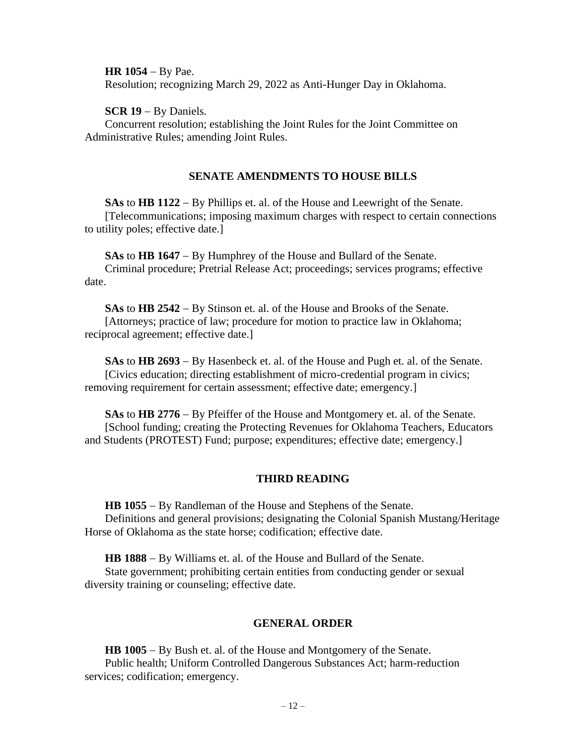**HR 1054** − By Pae.

Resolution; recognizing March 29, 2022 as Anti-Hunger Day in Oklahoma.

**SCR 19** − By Daniels.

Concurrent resolution; establishing the Joint Rules for the Joint Committee on Administrative Rules; amending Joint Rules.

## **SENATE AMENDMENTS TO HOUSE BILLS**

**SAs** to **HB 1122** − By Phillips et. al. of the House and Leewright of the Senate. [Telecommunications; imposing maximum charges with respect to certain connections to utility poles; effective date.]

**SAs** to **HB 1647** − By Humphrey of the House and Bullard of the Senate. Criminal procedure; Pretrial Release Act; proceedings; services programs; effective date.

**SAs** to **HB 2542** − By Stinson et. al. of the House and Brooks of the Senate. [Attorneys; practice of law; procedure for motion to practice law in Oklahoma; reciprocal agreement; effective date.]

**SAs** to **HB 2693** − By Hasenbeck et. al. of the House and Pugh et. al. of the Senate. [Civics education; directing establishment of micro-credential program in civics; removing requirement for certain assessment; effective date; emergency.]

**SAs** to **HB 2776** − By Pfeiffer of the House and Montgomery et. al. of the Senate. [School funding; creating the Protecting Revenues for Oklahoma Teachers, Educators and Students (PROTEST) Fund; purpose; expenditures; effective date; emergency.]

#### **THIRD READING**

**HB 1055** − By Randleman of the House and Stephens of the Senate. Definitions and general provisions; designating the Colonial Spanish Mustang/Heritage Horse of Oklahoma as the state horse; codification; effective date.

**HB 1888** − By Williams et. al. of the House and Bullard of the Senate.

State government; prohibiting certain entities from conducting gender or sexual diversity training or counseling; effective date.

#### **GENERAL ORDER**

**HB 1005** − By Bush et. al. of the House and Montgomery of the Senate. Public health; Uniform Controlled Dangerous Substances Act; harm-reduction services; codification; emergency.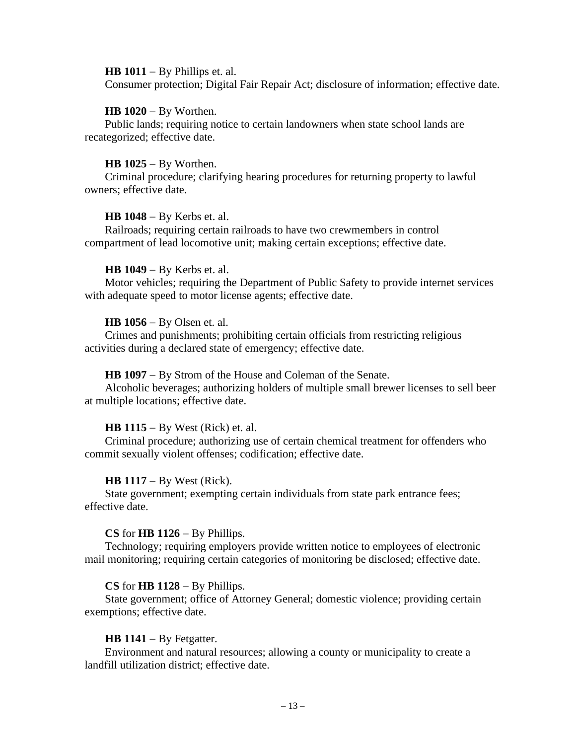#### **HB 1011** − By Phillips et. al.

Consumer protection; Digital Fair Repair Act; disclosure of information; effective date.

#### **HB 1020** − By Worthen.

Public lands; requiring notice to certain landowners when state school lands are recategorized; effective date.

#### **HB 1025** − By Worthen.

Criminal procedure; clarifying hearing procedures for returning property to lawful owners; effective date.

#### **HB 1048** − By Kerbs et. al.

Railroads; requiring certain railroads to have two crewmembers in control compartment of lead locomotive unit; making certain exceptions; effective date.

#### **HB 1049** − By Kerbs et. al.

Motor vehicles; requiring the Department of Public Safety to provide internet services with adequate speed to motor license agents; effective date.

#### **HB 1056** − By Olsen et. al.

Crimes and punishments; prohibiting certain officials from restricting religious activities during a declared state of emergency; effective date.

#### **HB 1097** − By Strom of the House and Coleman of the Senate.

Alcoholic beverages; authorizing holders of multiple small brewer licenses to sell beer at multiple locations; effective date.

#### **HB 1115** − By West (Rick) et. al.

Criminal procedure; authorizing use of certain chemical treatment for offenders who commit sexually violent offenses; codification; effective date.

#### **HB 1117** − By West (Rick).

State government; exempting certain individuals from state park entrance fees; effective date.

#### **CS** for **HB 1126** − By Phillips.

Technology; requiring employers provide written notice to employees of electronic mail monitoring; requiring certain categories of monitoring be disclosed; effective date.

#### **CS** for **HB 1128** − By Phillips.

State government; office of Attorney General; domestic violence; providing certain exemptions; effective date.

#### **HB 1141** − By Fetgatter.

Environment and natural resources; allowing a county or municipality to create a landfill utilization district; effective date.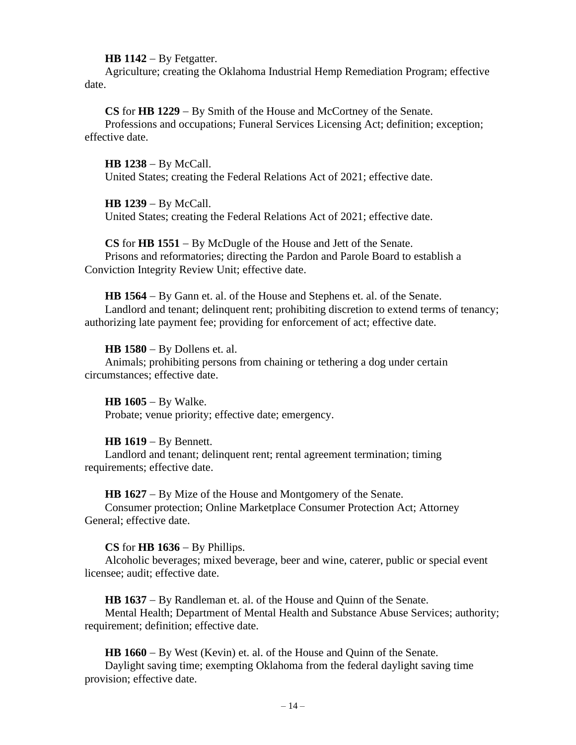#### **HB 1142** − By Fetgatter.

Agriculture; creating the Oklahoma Industrial Hemp Remediation Program; effective date.

**CS** for **HB 1229** − By Smith of the House and McCortney of the Senate. Professions and occupations; Funeral Services Licensing Act; definition; exception; effective date.

**HB 1238** − By McCall. United States; creating the Federal Relations Act of 2021; effective date.

#### **HB 1239** − By McCall.

United States; creating the Federal Relations Act of 2021; effective date.

**CS** for **HB 1551** − By McDugle of the House and Jett of the Senate. Prisons and reformatories; directing the Pardon and Parole Board to establish a Conviction Integrity Review Unit; effective date.

**HB 1564** − By Gann et. al. of the House and Stephens et. al. of the Senate. Landlord and tenant; delinquent rent; prohibiting discretion to extend terms of tenancy; authorizing late payment fee; providing for enforcement of act; effective date.

**HB 1580** − By Dollens et. al. Animals; prohibiting persons from chaining or tethering a dog under certain circumstances; effective date.

**HB 1605** − By Walke. Probate; venue priority; effective date; emergency.

#### **HB 1619** − By Bennett.

Landlord and tenant; delinquent rent; rental agreement termination; timing requirements; effective date.

**HB 1627** − By Mize of the House and Montgomery of the Senate. Consumer protection; Online Marketplace Consumer Protection Act; Attorney General; effective date.

#### **CS** for **HB 1636** − By Phillips.

Alcoholic beverages; mixed beverage, beer and wine, caterer, public or special event licensee; audit; effective date.

**HB 1637** − By Randleman et. al. of the House and Quinn of the Senate. Mental Health; Department of Mental Health and Substance Abuse Services; authority; requirement; definition; effective date.

**HB 1660** − By West (Kevin) et. al. of the House and Quinn of the Senate. Daylight saving time; exempting Oklahoma from the federal daylight saving time provision; effective date.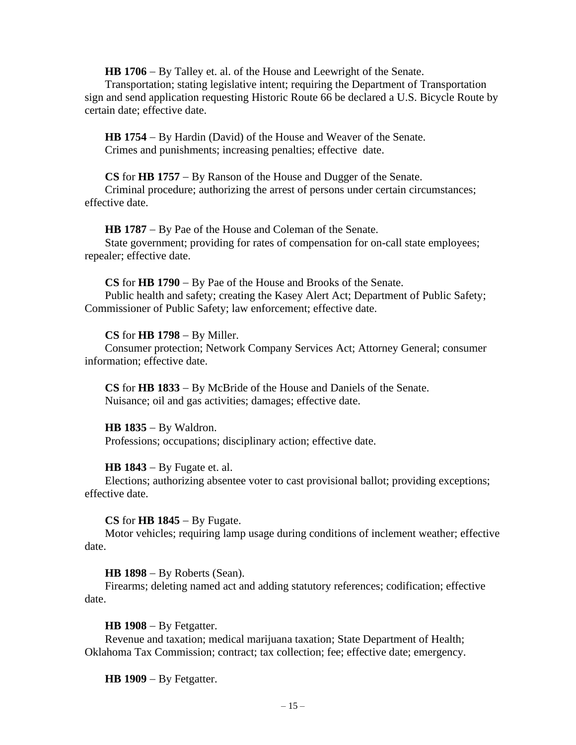**HB 1706** − By Talley et. al. of the House and Leewright of the Senate.

Transportation; stating legislative intent; requiring the Department of Transportation sign and send application requesting Historic Route 66 be declared a U.S. Bicycle Route by certain date; effective date.

**HB 1754** − By Hardin (David) of the House and Weaver of the Senate. Crimes and punishments; increasing penalties; effective date.

**CS** for **HB 1757** − By Ranson of the House and Dugger of the Senate.

Criminal procedure; authorizing the arrest of persons under certain circumstances; effective date.

**HB 1787** − By Pae of the House and Coleman of the Senate. State government; providing for rates of compensation for on-call state employees; repealer; effective date.

**CS** for **HB 1790** − By Pae of the House and Brooks of the Senate. Public health and safety; creating the Kasey Alert Act; Department of Public Safety; Commissioner of Public Safety; law enforcement; effective date.

#### **CS** for **HB 1798** − By Miller.

Consumer protection; Network Company Services Act; Attorney General; consumer information; effective date.

**CS** for **HB 1833** − By McBride of the House and Daniels of the Senate. Nuisance; oil and gas activities; damages; effective date.

**HB 1835** − By Waldron.

Professions; occupations; disciplinary action; effective date.

**HB 1843** − By Fugate et. al.

Elections; authorizing absentee voter to cast provisional ballot; providing exceptions; effective date.

**CS** for **HB 1845** − By Fugate.

Motor vehicles; requiring lamp usage during conditions of inclement weather; effective date.

**HB 1898** − By Roberts (Sean).

Firearms; deleting named act and adding statutory references; codification; effective date.

**HB 1908** − By Fetgatter.

Revenue and taxation; medical marijuana taxation; State Department of Health; Oklahoma Tax Commission; contract; tax collection; fee; effective date; emergency.

**HB 1909** − By Fetgatter.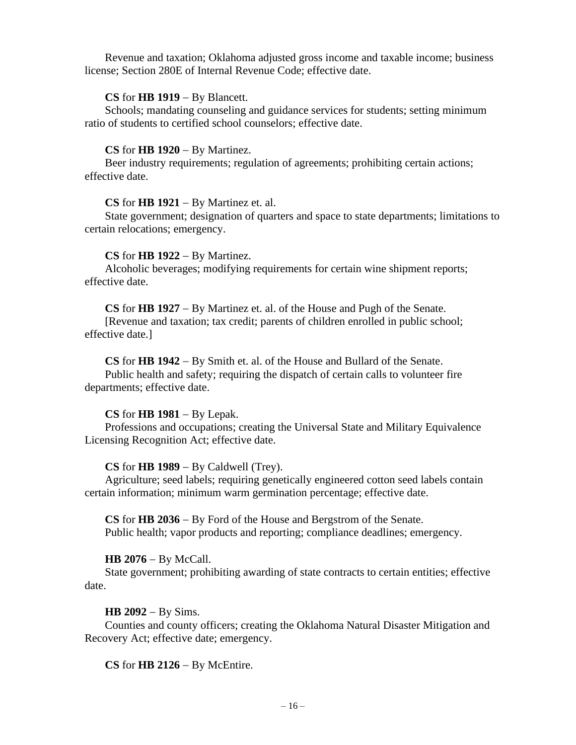Revenue and taxation; Oklahoma adjusted gross income and taxable income; business license; Section 280E of Internal Revenue Code; effective date.

## **CS** for **HB 1919** − By Blancett.

Schools; mandating counseling and guidance services for students; setting minimum ratio of students to certified school counselors; effective date.

## **CS** for **HB 1920** − By Martinez.

Beer industry requirements; regulation of agreements; prohibiting certain actions; effective date.

#### **CS** for **HB 1921** − By Martinez et. al.

State government; designation of quarters and space to state departments; limitations to certain relocations; emergency.

## **CS** for **HB 1922** − By Martinez.

Alcoholic beverages; modifying requirements for certain wine shipment reports; effective date.

**CS** for **HB 1927** − By Martinez et. al. of the House and Pugh of the Senate.

[Revenue and taxation; tax credit; parents of children enrolled in public school; effective date.]

**CS** for **HB 1942** − By Smith et. al. of the House and Bullard of the Senate.

Public health and safety; requiring the dispatch of certain calls to volunteer fire departments; effective date.

## **CS** for **HB 1981** − By Lepak.

Professions and occupations; creating the Universal State and Military Equivalence Licensing Recognition Act; effective date.

## **CS** for **HB 1989** − By Caldwell (Trey).

Agriculture; seed labels; requiring genetically engineered cotton seed labels contain certain information; minimum warm germination percentage; effective date.

**CS** for **HB 2036** − By Ford of the House and Bergstrom of the Senate. Public health; vapor products and reporting; compliance deadlines; emergency.

## **HB 2076** − By McCall.

State government; prohibiting awarding of state contracts to certain entities; effective date.

## **HB 2092** − By Sims.

Counties and county officers; creating the Oklahoma Natural Disaster Mitigation and Recovery Act; effective date; emergency.

**CS** for **HB 2126** − By McEntire.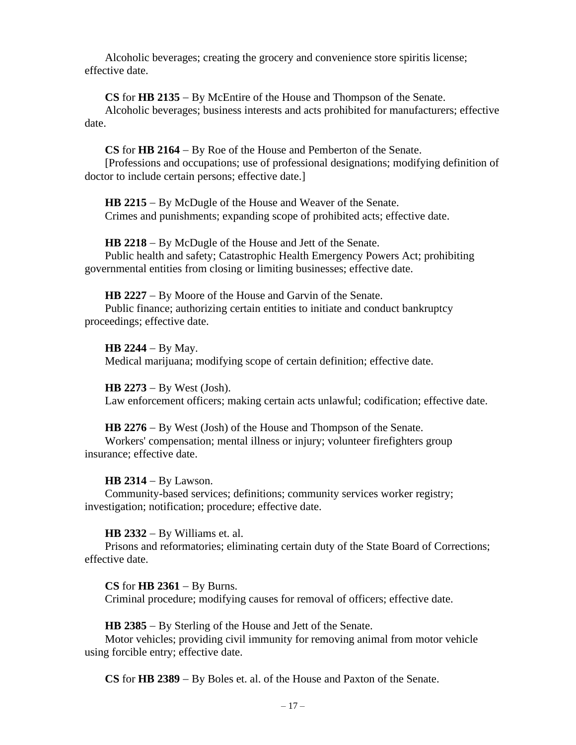Alcoholic beverages; creating the grocery and convenience store spiritis license; effective date.

**CS** for **HB 2135** − By McEntire of the House and Thompson of the Senate. Alcoholic beverages; business interests and acts prohibited for manufacturers; effective date.

**CS** for **HB 2164** − By Roe of the House and Pemberton of the Senate.

[Professions and occupations; use of professional designations; modifying definition of doctor to include certain persons; effective date.]

**HB 2215** − By McDugle of the House and Weaver of the Senate. Crimes and punishments; expanding scope of prohibited acts; effective date.

**HB 2218** − By McDugle of the House and Jett of the Senate. Public health and safety; Catastrophic Health Emergency Powers Act; prohibiting governmental entities from closing or limiting businesses; effective date.

**HB 2227** − By Moore of the House and Garvin of the Senate. Public finance; authorizing certain entities to initiate and conduct bankruptcy proceedings; effective date.

**HB 2244** − By May. Medical marijuana; modifying scope of certain definition; effective date.

**HB 2273** − By West (Josh). Law enforcement officers; making certain acts unlawful; codification; effective date.

**HB 2276** − By West (Josh) of the House and Thompson of the Senate. Workers' compensation; mental illness or injury; volunteer firefighters group insurance; effective date.

**HB 2314** − By Lawson.

Community-based services; definitions; community services worker registry; investigation; notification; procedure; effective date.

**HB 2332** − By Williams et. al.

Prisons and reformatories; eliminating certain duty of the State Board of Corrections; effective date.

**CS** for **HB 2361** − By Burns.

Criminal procedure; modifying causes for removal of officers; effective date.

**HB 2385** − By Sterling of the House and Jett of the Senate.

Motor vehicles; providing civil immunity for removing animal from motor vehicle using forcible entry; effective date.

**CS** for **HB 2389** − By Boles et. al. of the House and Paxton of the Senate.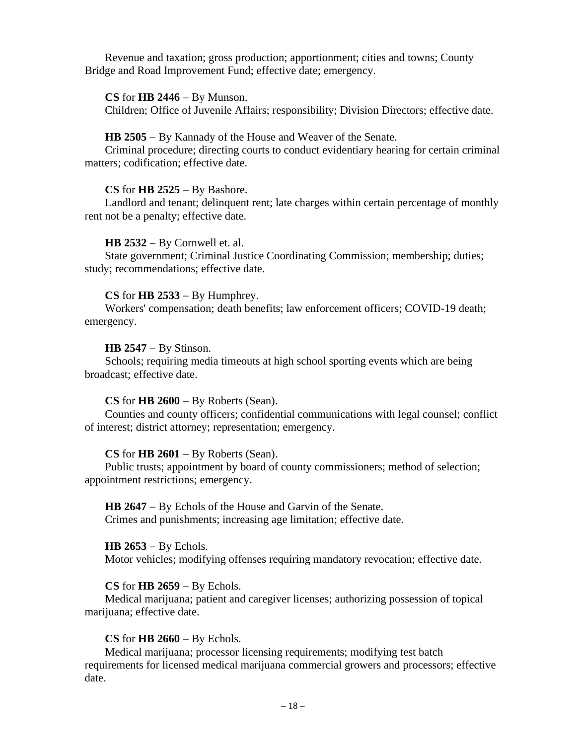Revenue and taxation; gross production; apportionment; cities and towns; County Bridge and Road Improvement Fund; effective date; emergency.

#### **CS** for **HB 2446** − By Munson.

Children; Office of Juvenile Affairs; responsibility; Division Directors; effective date.

#### **HB 2505** − By Kannady of the House and Weaver of the Senate.

Criminal procedure; directing courts to conduct evidentiary hearing for certain criminal matters; codification; effective date.

#### **CS** for **HB 2525** − By Bashore.

Landlord and tenant; delinquent rent; late charges within certain percentage of monthly rent not be a penalty; effective date.

#### **HB 2532** − By Cornwell et. al.

State government; Criminal Justice Coordinating Commission; membership; duties; study; recommendations; effective date.

#### **CS** for **HB 2533** − By Humphrey.

Workers' compensation; death benefits; law enforcement officers; COVID-19 death; emergency.

#### **HB 2547** − By Stinson.

Schools; requiring media timeouts at high school sporting events which are being broadcast; effective date.

#### **CS** for **HB 2600** − By Roberts (Sean).

Counties and county officers; confidential communications with legal counsel; conflict of interest; district attorney; representation; emergency.

#### **CS** for **HB 2601** − By Roberts (Sean).

Public trusts; appointment by board of county commissioners; method of selection; appointment restrictions; emergency.

## **HB 2647** − By Echols of the House and Garvin of the Senate.

Crimes and punishments; increasing age limitation; effective date.

#### **HB 2653** − By Echols.

Motor vehicles; modifying offenses requiring mandatory revocation; effective date.

#### **CS** for **HB 2659** − By Echols.

Medical marijuana; patient and caregiver licenses; authorizing possession of topical marijuana; effective date.

#### **CS** for **HB 2660** − By Echols.

Medical marijuana; processor licensing requirements; modifying test batch requirements for licensed medical marijuana commercial growers and processors; effective date.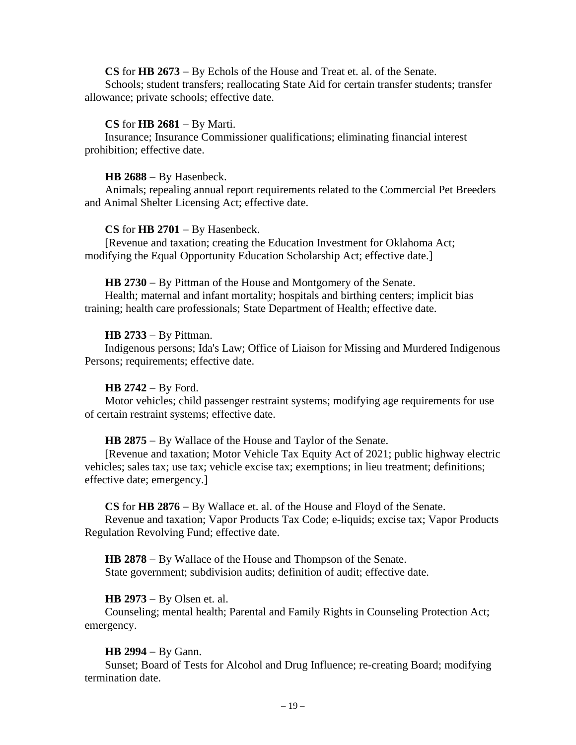## **CS** for **HB 2673** − By Echols of the House and Treat et. al. of the Senate.

Schools; student transfers; reallocating State Aid for certain transfer students; transfer allowance; private schools; effective date.

#### **CS** for **HB 2681** − By Marti.

Insurance; Insurance Commissioner qualifications; eliminating financial interest prohibition; effective date.

#### **HB 2688** − By Hasenbeck.

Animals; repealing annual report requirements related to the Commercial Pet Breeders and Animal Shelter Licensing Act; effective date.

#### **CS** for **HB 2701** − By Hasenbeck.

[Revenue and taxation; creating the Education Investment for Oklahoma Act; modifying the Equal Opportunity Education Scholarship Act; effective date.]

#### **HB 2730** − By Pittman of the House and Montgomery of the Senate.

Health; maternal and infant mortality; hospitals and birthing centers; implicit bias training; health care professionals; State Department of Health; effective date.

#### **HB 2733** − By Pittman.

Indigenous persons; Ida's Law; Office of Liaison for Missing and Murdered Indigenous Persons; requirements; effective date.

#### **HB 2742** − By Ford.

Motor vehicles; child passenger restraint systems; modifying age requirements for use of certain restraint systems; effective date.

#### **HB 2875** − By Wallace of the House and Taylor of the Senate.

[Revenue and taxation; Motor Vehicle Tax Equity Act of 2021; public highway electric vehicles; sales tax; use tax; vehicle excise tax; exemptions; in lieu treatment; definitions; effective date; emergency.]

#### **CS** for **HB 2876** − By Wallace et. al. of the House and Floyd of the Senate.

Revenue and taxation; Vapor Products Tax Code; e-liquids; excise tax; Vapor Products Regulation Revolving Fund; effective date.

**HB 2878** − By Wallace of the House and Thompson of the Senate. State government; subdivision audits; definition of audit; effective date.

#### **HB 2973** − By Olsen et. al.

Counseling; mental health; Parental and Family Rights in Counseling Protection Act; emergency.

#### **HB 2994** − By Gann.

Sunset; Board of Tests for Alcohol and Drug Influence; re-creating Board; modifying termination date.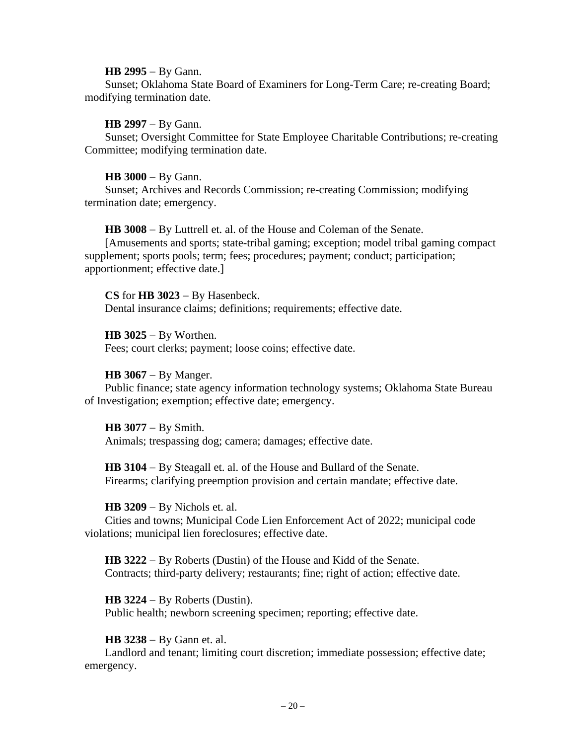#### **HB 2995** − By Gann.

Sunset; Oklahoma State Board of Examiners for Long-Term Care; re-creating Board; modifying termination date.

#### **HB 2997** − By Gann.

Sunset; Oversight Committee for State Employee Charitable Contributions; re-creating Committee; modifying termination date.

#### **HB 3000** − By Gann.

Sunset; Archives and Records Commission; re-creating Commission; modifying termination date; emergency.

**HB 3008** − By Luttrell et. al. of the House and Coleman of the Senate.

[Amusements and sports; state-tribal gaming; exception; model tribal gaming compact supplement; sports pools; term; fees; procedures; payment; conduct; participation; apportionment; effective date.]

**CS** for **HB 3023** − By Hasenbeck. Dental insurance claims; definitions; requirements; effective date.

#### **HB 3025** − By Worthen.

Fees; court clerks; payment; loose coins; effective date.

#### **HB 3067** − By Manger.

Public finance; state agency information technology systems; Oklahoma State Bureau of Investigation; exemption; effective date; emergency.

**HB 3077** − By Smith. Animals; trespassing dog; camera; damages; effective date.

**HB 3104** − By Steagall et. al. of the House and Bullard of the Senate. Firearms; clarifying preemption provision and certain mandate; effective date.

**HB 3209** − By Nichols et. al.

Cities and towns; Municipal Code Lien Enforcement Act of 2022; municipal code violations; municipal lien foreclosures; effective date.

**HB 3222** − By Roberts (Dustin) of the House and Kidd of the Senate. Contracts; third-party delivery; restaurants; fine; right of action; effective date.

**HB 3224** − By Roberts (Dustin).

Public health; newborn screening specimen; reporting; effective date.

#### **HB 3238** − By Gann et. al.

Landlord and tenant; limiting court discretion; immediate possession; effective date; emergency.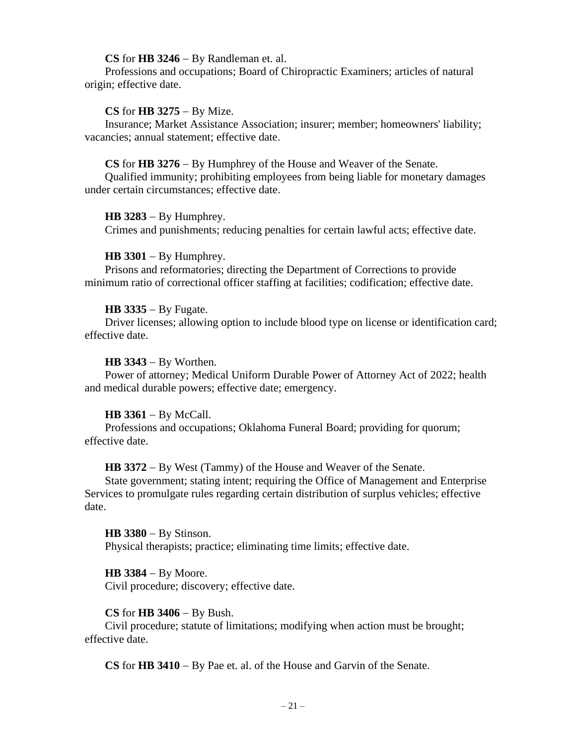#### **CS** for **HB 3246** − By Randleman et. al.

Professions and occupations; Board of Chiropractic Examiners; articles of natural origin; effective date.

#### **CS** for **HB 3275** − By Mize.

Insurance; Market Assistance Association; insurer; member; homeowners' liability; vacancies; annual statement; effective date.

#### **CS** for **HB 3276** − By Humphrey of the House and Weaver of the Senate.

Qualified immunity; prohibiting employees from being liable for monetary damages under certain circumstances; effective date.

#### **HB 3283** − By Humphrey.

Crimes and punishments; reducing penalties for certain lawful acts; effective date.

#### **HB 3301** − By Humphrey.

Prisons and reformatories; directing the Department of Corrections to provide minimum ratio of correctional officer staffing at facilities; codification; effective date.

#### **HB 3335** − By Fugate.

Driver licenses; allowing option to include blood type on license or identification card; effective date.

#### **HB 3343** − By Worthen.

Power of attorney; Medical Uniform Durable Power of Attorney Act of 2022; health and medical durable powers; effective date; emergency.

#### **HB 3361** − By McCall.

Professions and occupations; Oklahoma Funeral Board; providing for quorum; effective date.

**HB 3372** − By West (Tammy) of the House and Weaver of the Senate.

State government; stating intent; requiring the Office of Management and Enterprise Services to promulgate rules regarding certain distribution of surplus vehicles; effective date.

#### **HB 3380** − By Stinson.

Physical therapists; practice; eliminating time limits; effective date.

#### **HB 3384** − By Moore.

Civil procedure; discovery; effective date.

#### **CS** for **HB 3406** − By Bush.

Civil procedure; statute of limitations; modifying when action must be brought; effective date.

**CS** for **HB 3410** − By Pae et. al. of the House and Garvin of the Senate.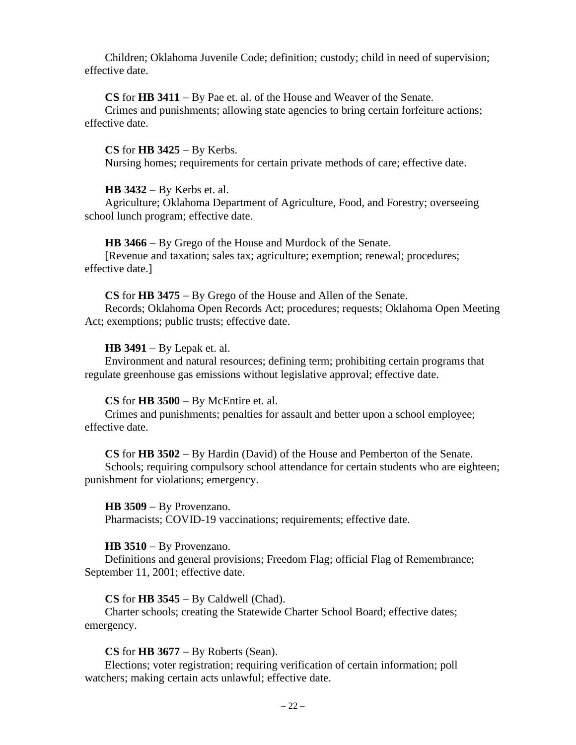Children; Oklahoma Juvenile Code; definition; custody; child in need of supervision; effective date.

#### **CS** for **HB 3411** − By Pae et. al. of the House and Weaver of the Senate.

Crimes and punishments; allowing state agencies to bring certain forfeiture actions; effective date.

#### **CS** for **HB 3425** − By Kerbs.

Nursing homes; requirements for certain private methods of care; effective date.

#### **HB 3432** − By Kerbs et. al.

Agriculture; Oklahoma Department of Agriculture, Food, and Forestry; overseeing school lunch program; effective date.

**HB 3466** − By Grego of the House and Murdock of the Senate.

[Revenue and taxation; sales tax; agriculture; exemption; renewal; procedures; effective date.]

#### **CS** for **HB 3475** − By Grego of the House and Allen of the Senate.

Records; Oklahoma Open Records Act; procedures; requests; Oklahoma Open Meeting Act; exemptions; public trusts; effective date.

#### **HB 3491** − By Lepak et. al.

Environment and natural resources; defining term; prohibiting certain programs that regulate greenhouse gas emissions without legislative approval; effective date.

#### **CS** for **HB 3500** − By McEntire et. al.

Crimes and punishments; penalties for assault and better upon a school employee; effective date.

#### **CS** for **HB 3502** − By Hardin (David) of the House and Pemberton of the Senate.

Schools; requiring compulsory school attendance for certain students who are eighteen; punishment for violations; emergency.

#### **HB 3509** − By Provenzano.

Pharmacists; COVID-19 vaccinations; requirements; effective date.

#### **HB 3510** − By Provenzano.

Definitions and general provisions; Freedom Flag; official Flag of Remembrance; September 11, 2001; effective date.

#### **CS** for **HB 3545** − By Caldwell (Chad).

Charter schools; creating the Statewide Charter School Board; effective dates; emergency.

#### **CS** for **HB 3677** − By Roberts (Sean).

Elections; voter registration; requiring verification of certain information; poll watchers; making certain acts unlawful; effective date.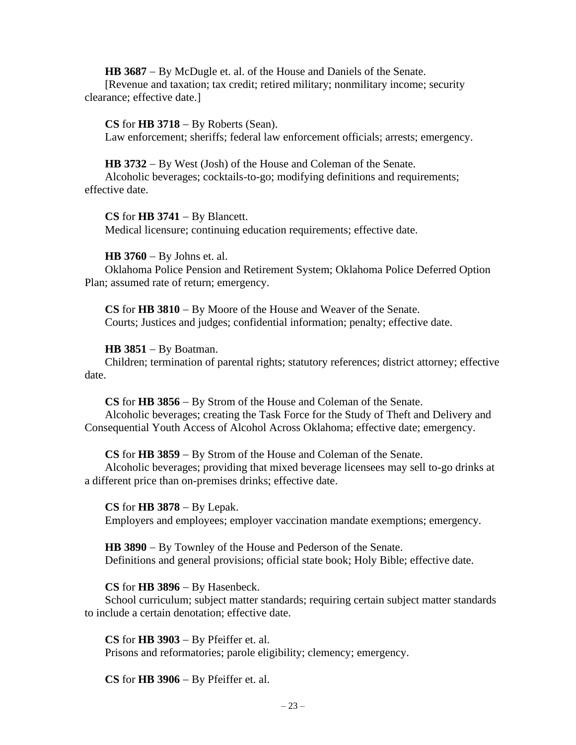**HB 3687** − By McDugle et. al. of the House and Daniels of the Senate.

[Revenue and taxation; tax credit; retired military; nonmilitary income; security clearance; effective date.]

**CS** for **HB 3718** − By Roberts (Sean). Law enforcement; sheriffs; federal law enforcement officials; arrests; emergency.

**HB 3732** − By West (Josh) of the House and Coleman of the Senate.

Alcoholic beverages; cocktails-to-go; modifying definitions and requirements; effective date.

**CS** for **HB 3741** − By Blancett. Medical licensure; continuing education requirements; effective date.

**HB 3760** − By Johns et. al.

Oklahoma Police Pension and Retirement System; Oklahoma Police Deferred Option Plan; assumed rate of return; emergency.

**CS** for **HB 3810** − By Moore of the House and Weaver of the Senate. Courts; Justices and judges; confidential information; penalty; effective date.

**HB 3851** − By Boatman.

Children; termination of parental rights; statutory references; district attorney; effective date.

**CS** for **HB 3856** − By Strom of the House and Coleman of the Senate. Alcoholic beverages; creating the Task Force for the Study of Theft and Delivery and Consequential Youth Access of Alcohol Across Oklahoma; effective date; emergency.

**CS** for **HB 3859** − By Strom of the House and Coleman of the Senate.

Alcoholic beverages; providing that mixed beverage licensees may sell to-go drinks at a different price than on-premises drinks; effective date.

**CS** for **HB 3878** − By Lepak.

Employers and employees; employer vaccination mandate exemptions; emergency.

**HB 3890** − By Townley of the House and Pederson of the Senate. Definitions and general provisions; official state book; Holy Bible; effective date.

**CS** for **HB 3896** − By Hasenbeck.

School curriculum; subject matter standards; requiring certain subject matter standards to include a certain denotation; effective date.

**CS** for **HB 3903** − By Pfeiffer et. al. Prisons and reformatories; parole eligibility; clemency; emergency.

**CS** for **HB 3906** − By Pfeiffer et. al.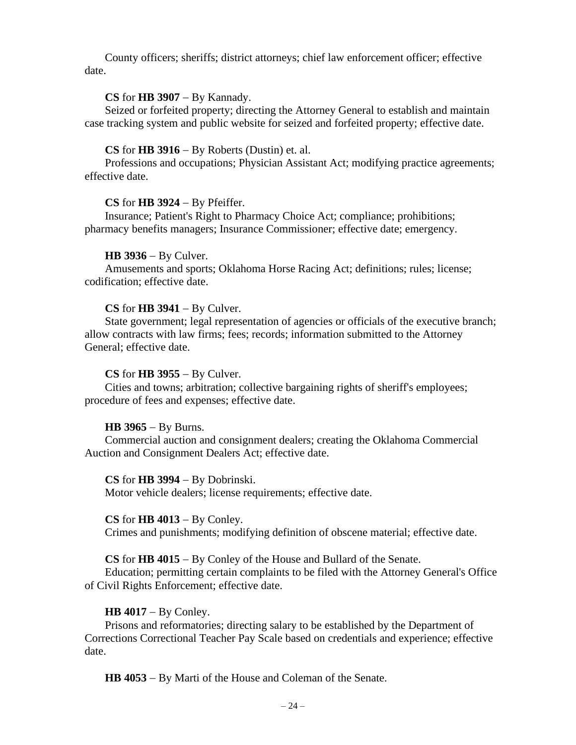County officers; sheriffs; district attorneys; chief law enforcement officer; effective date.

#### **CS** for **HB 3907** − By Kannady.

Seized or forfeited property; directing the Attorney General to establish and maintain case tracking system and public website for seized and forfeited property; effective date.

#### **CS** for **HB 3916** − By Roberts (Dustin) et. al.

Professions and occupations; Physician Assistant Act; modifying practice agreements; effective date.

#### **CS** for **HB 3924** − By Pfeiffer.

Insurance; Patient's Right to Pharmacy Choice Act; compliance; prohibitions; pharmacy benefits managers; Insurance Commissioner; effective date; emergency.

#### **HB 3936** − By Culver.

Amusements and sports; Oklahoma Horse Racing Act; definitions; rules; license; codification; effective date.

#### **CS** for **HB 3941** − By Culver.

State government; legal representation of agencies or officials of the executive branch; allow contracts with law firms; fees; records; information submitted to the Attorney General; effective date.

#### **CS** for **HB 3955** − By Culver.

Cities and towns; arbitration; collective bargaining rights of sheriff's employees; procedure of fees and expenses; effective date.

#### **HB 3965** − By Burns.

Commercial auction and consignment dealers; creating the Oklahoma Commercial Auction and Consignment Dealers Act; effective date.

#### **CS** for **HB 3994** − By Dobrinski.

Motor vehicle dealers; license requirements; effective date.

#### **CS** for **HB 4013** − By Conley.

Crimes and punishments; modifying definition of obscene material; effective date.

**CS** for **HB 4015** − By Conley of the House and Bullard of the Senate.

Education; permitting certain complaints to be filed with the Attorney General's Office of Civil Rights Enforcement; effective date.

#### **HB 4017** − By Conley.

Prisons and reformatories; directing salary to be established by the Department of Corrections Correctional Teacher Pay Scale based on credentials and experience; effective date.

**HB 4053** − By Marti of the House and Coleman of the Senate.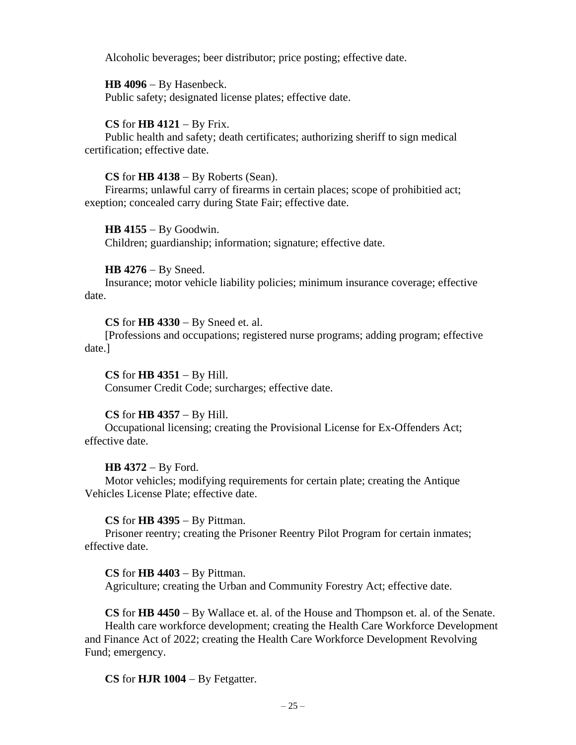Alcoholic beverages; beer distributor; price posting; effective date.

**HB 4096** − By Hasenbeck.

Public safety; designated license plates; effective date.

## **CS** for **HB 4121** − By Frix.

Public health and safety; death certificates; authorizing sheriff to sign medical certification; effective date.

## **CS** for **HB 4138** − By Roberts (Sean).

Firearms; unlawful carry of firearms in certain places; scope of prohibitied act; exeption; concealed carry during State Fair; effective date.

**HB 4155** − By Goodwin.

Children; guardianship; information; signature; effective date.

## **HB 4276** − By Sneed.

Insurance; motor vehicle liability policies; minimum insurance coverage; effective date.

**CS** for **HB 4330** − By Sneed et. al.

[Professions and occupations; registered nurse programs; adding program; effective date.]

**CS** for **HB 4351** − By Hill. Consumer Credit Code; surcharges; effective date.

## **CS** for **HB 4357** − By Hill.

Occupational licensing; creating the Provisional License for Ex-Offenders Act; effective date.

## **HB 4372** − By Ford.

Motor vehicles; modifying requirements for certain plate; creating the Antique Vehicles License Plate; effective date.

## **CS** for **HB 4395** − By Pittman.

Prisoner reentry; creating the Prisoner Reentry Pilot Program for certain inmates; effective date.

## **CS** for **HB 4403** − By Pittman.

Agriculture; creating the Urban and Community Forestry Act; effective date.

**CS** for **HB 4450** − By Wallace et. al. of the House and Thompson et. al. of the Senate. Health care workforce development; creating the Health Care Workforce Development and Finance Act of 2022; creating the Health Care Workforce Development Revolving Fund; emergency.

**CS** for **HJR 1004** − By Fetgatter.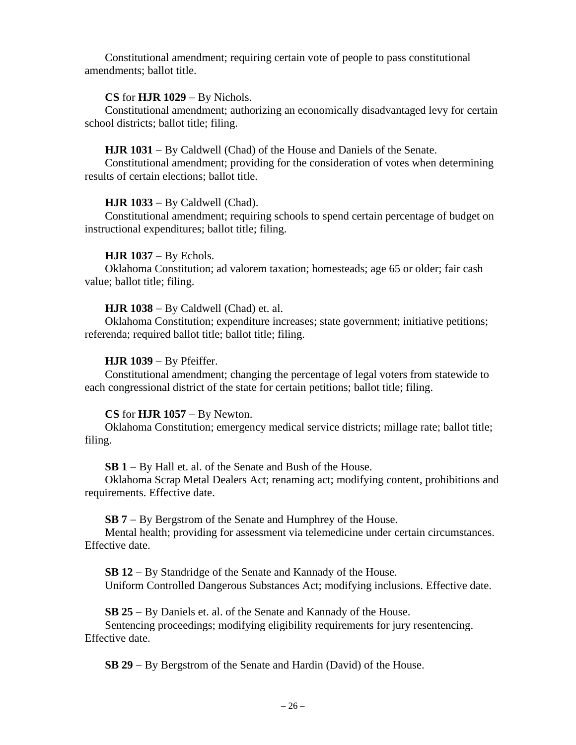Constitutional amendment; requiring certain vote of people to pass constitutional amendments; ballot title.

## **CS** for **HJR 1029** − By Nichols.

Constitutional amendment; authorizing an economically disadvantaged levy for certain school districts; ballot title; filing.

## **HJR 1031** − By Caldwell (Chad) of the House and Daniels of the Senate.

Constitutional amendment; providing for the consideration of votes when determining results of certain elections; ballot title.

## **HJR 1033** − By Caldwell (Chad).

Constitutional amendment; requiring schools to spend certain percentage of budget on instructional expenditures; ballot title; filing.

## **HJR 1037** − By Echols.

Oklahoma Constitution; ad valorem taxation; homesteads; age 65 or older; fair cash value; ballot title; filing.

## **HJR 1038** − By Caldwell (Chad) et. al.

Oklahoma Constitution; expenditure increases; state government; initiative petitions; referenda; required ballot title; ballot title; filing.

## **HJR 1039** − By Pfeiffer.

Constitutional amendment; changing the percentage of legal voters from statewide to each congressional district of the state for certain petitions; ballot title; filing.

## **CS** for **HJR 1057** − By Newton.

Oklahoma Constitution; emergency medical service districts; millage rate; ballot title; filing.

**SB 1** − By Hall et. al. of the Senate and Bush of the House.

Oklahoma Scrap Metal Dealers Act; renaming act; modifying content, prohibitions and requirements. Effective date.

## **SB 7** − By Bergstrom of the Senate and Humphrey of the House.

Mental health; providing for assessment via telemedicine under certain circumstances. Effective date.

**SB 12** − By Standridge of the Senate and Kannady of the House. Uniform Controlled Dangerous Substances Act; modifying inclusions. Effective date.

**SB 25** − By Daniels et. al. of the Senate and Kannady of the House.

Sentencing proceedings; modifying eligibility requirements for jury resentencing. Effective date.

**SB 29** − By Bergstrom of the Senate and Hardin (David) of the House.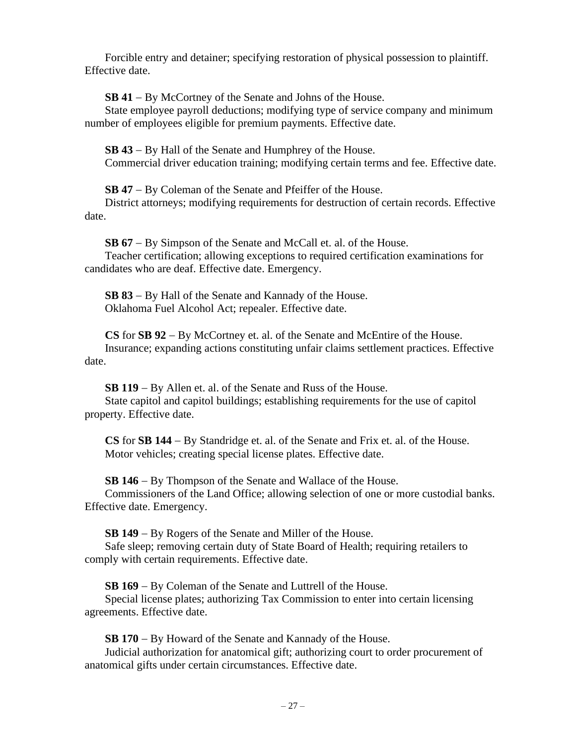Forcible entry and detainer; specifying restoration of physical possession to plaintiff. Effective date.

**SB 41** − By McCortney of the Senate and Johns of the House.

State employee payroll deductions; modifying type of service company and minimum number of employees eligible for premium payments. Effective date.

**SB 43** − By Hall of the Senate and Humphrey of the House. Commercial driver education training; modifying certain terms and fee. Effective date.

**SB 47** − By Coleman of the Senate and Pfeiffer of the House.

District attorneys; modifying requirements for destruction of certain records. Effective date.

**SB 67** − By Simpson of the Senate and McCall et. al. of the House.

Teacher certification; allowing exceptions to required certification examinations for candidates who are deaf. Effective date. Emergency.

**SB 83** − By Hall of the Senate and Kannady of the House. Oklahoma Fuel Alcohol Act; repealer. Effective date.

**CS** for **SB 92** − By McCortney et. al. of the Senate and McEntire of the House. Insurance; expanding actions constituting unfair claims settlement practices. Effective date.

**SB 119** − By Allen et. al. of the Senate and Russ of the House.

State capitol and capitol buildings; establishing requirements for the use of capitol property. Effective date.

**CS** for **SB 144** − By Standridge et. al. of the Senate and Frix et. al. of the House. Motor vehicles; creating special license plates. Effective date.

**SB 146** − By Thompson of the Senate and Wallace of the House.

Commissioners of the Land Office; allowing selection of one or more custodial banks. Effective date. Emergency.

**SB 149** − By Rogers of the Senate and Miller of the House.

Safe sleep; removing certain duty of State Board of Health; requiring retailers to comply with certain requirements. Effective date.

**SB 169** − By Coleman of the Senate and Luttrell of the House.

Special license plates; authorizing Tax Commission to enter into certain licensing agreements. Effective date.

**SB 170** − By Howard of the Senate and Kannady of the House.

Judicial authorization for anatomical gift; authorizing court to order procurement of anatomical gifts under certain circumstances. Effective date.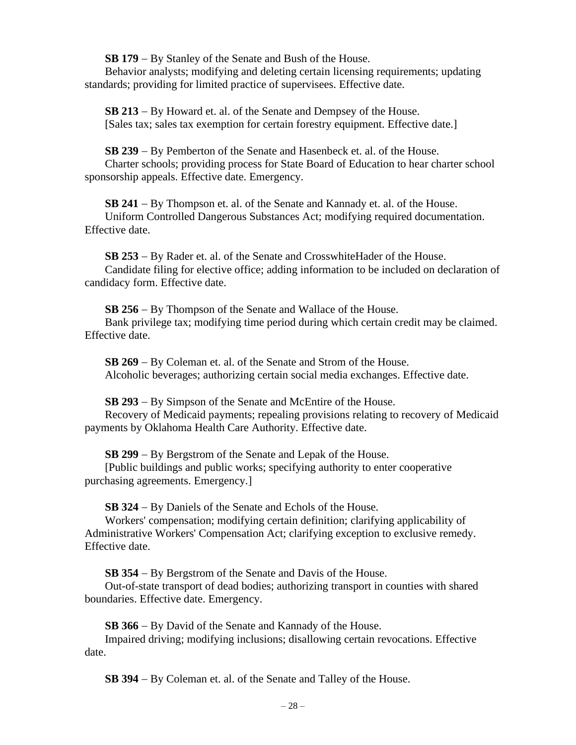**SB 179** − By Stanley of the Senate and Bush of the House.

Behavior analysts; modifying and deleting certain licensing requirements; updating standards; providing for limited practice of supervisees. Effective date.

**SB 213** − By Howard et. al. of the Senate and Dempsey of the House. [Sales tax; sales tax exemption for certain forestry equipment. Effective date.]

**SB 239** − By Pemberton of the Senate and Hasenbeck et. al. of the House.

Charter schools; providing process for State Board of Education to hear charter school sponsorship appeals. Effective date. Emergency.

**SB 241** − By Thompson et. al. of the Senate and Kannady et. al. of the House. Uniform Controlled Dangerous Substances Act; modifying required documentation. Effective date.

**SB 253** − By Rader et. al. of the Senate and CrosswhiteHader of the House. Candidate filing for elective office; adding information to be included on declaration of candidacy form. Effective date.

**SB 256** − By Thompson of the Senate and Wallace of the House. Bank privilege tax; modifying time period during which certain credit may be claimed. Effective date.

**SB 269** − By Coleman et. al. of the Senate and Strom of the House. Alcoholic beverages; authorizing certain social media exchanges. Effective date.

**SB 293** − By Simpson of the Senate and McEntire of the House. Recovery of Medicaid payments; repealing provisions relating to recovery of Medicaid payments by Oklahoma Health Care Authority. Effective date.

**SB 299** − By Bergstrom of the Senate and Lepak of the House.

[Public buildings and public works; specifying authority to enter cooperative purchasing agreements. Emergency.]

**SB 324** − By Daniels of the Senate and Echols of the House.

Workers' compensation; modifying certain definition; clarifying applicability of Administrative Workers' Compensation Act; clarifying exception to exclusive remedy. Effective date.

**SB 354** − By Bergstrom of the Senate and Davis of the House.

Out-of-state transport of dead bodies; authorizing transport in counties with shared boundaries. Effective date. Emergency.

**SB 366** − By David of the Senate and Kannady of the House.

Impaired driving; modifying inclusions; disallowing certain revocations. Effective date.

**SB 394** − By Coleman et. al. of the Senate and Talley of the House.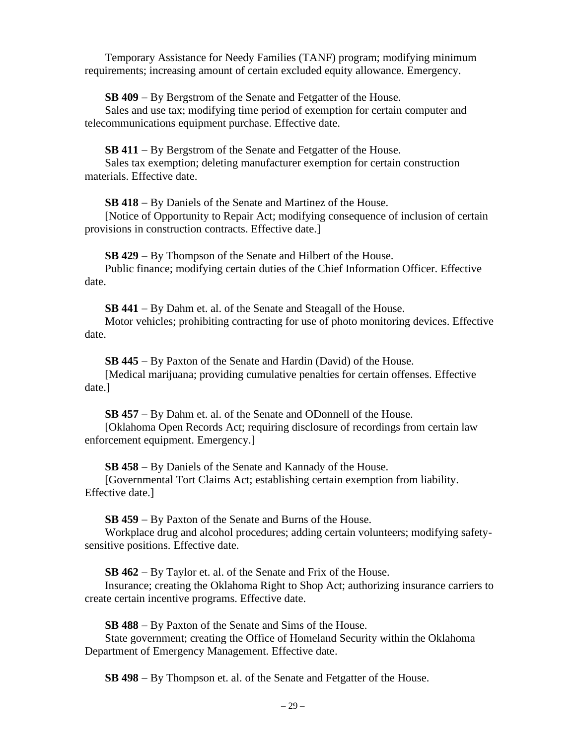Temporary Assistance for Needy Families (TANF) program; modifying minimum requirements; increasing amount of certain excluded equity allowance. Emergency.

**SB 409** − By Bergstrom of the Senate and Fetgatter of the House.

Sales and use tax; modifying time period of exemption for certain computer and telecommunications equipment purchase. Effective date.

**SB 411** − By Bergstrom of the Senate and Fetgatter of the House.

Sales tax exemption; deleting manufacturer exemption for certain construction materials. Effective date.

**SB 418** − By Daniels of the Senate and Martinez of the House.

[Notice of Opportunity to Repair Act; modifying consequence of inclusion of certain provisions in construction contracts. Effective date.]

**SB 429** − By Thompson of the Senate and Hilbert of the House.

Public finance; modifying certain duties of the Chief Information Officer. Effective date.

**SB 441** − By Dahm et. al. of the Senate and Steagall of the House.

Motor vehicles; prohibiting contracting for use of photo monitoring devices. Effective date.

**SB 445** − By Paxton of the Senate and Hardin (David) of the House.

[Medical marijuana; providing cumulative penalties for certain offenses. Effective date.]

**SB 457** − By Dahm et. al. of the Senate and ODonnell of the House. [Oklahoma Open Records Act; requiring disclosure of recordings from certain law enforcement equipment. Emergency.]

**SB 458** − By Daniels of the Senate and Kannady of the House.

[Governmental Tort Claims Act; establishing certain exemption from liability. Effective date.]

**SB 459** − By Paxton of the Senate and Burns of the House.

Workplace drug and alcohol procedures; adding certain volunteers; modifying safetysensitive positions. Effective date.

**SB 462** − By Taylor et. al. of the Senate and Frix of the House.

Insurance; creating the Oklahoma Right to Shop Act; authorizing insurance carriers to create certain incentive programs. Effective date.

**SB 488** − By Paxton of the Senate and Sims of the House.

State government; creating the Office of Homeland Security within the Oklahoma Department of Emergency Management. Effective date.

**SB 498** − By Thompson et. al. of the Senate and Fetgatter of the House.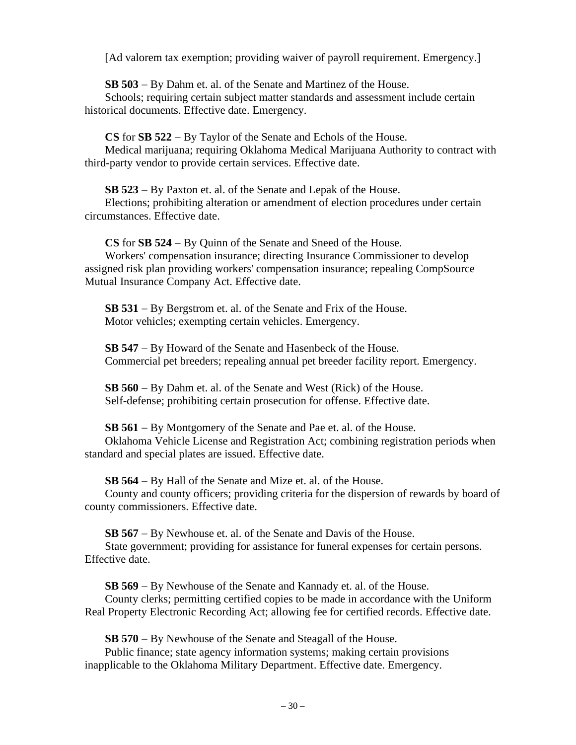[Ad valorem tax exemption; providing waiver of payroll requirement. Emergency.]

**SB 503** − By Dahm et. al. of the Senate and Martinez of the House.

Schools; requiring certain subject matter standards and assessment include certain historical documents. Effective date. Emergency.

**CS** for **SB 522** − By Taylor of the Senate and Echols of the House. Medical marijuana; requiring Oklahoma Medical Marijuana Authority to contract with third-party vendor to provide certain services. Effective date.

**SB 523** − By Paxton et. al. of the Senate and Lepak of the House.

Elections; prohibiting alteration or amendment of election procedures under certain circumstances. Effective date.

**CS** for **SB 524** − By Quinn of the Senate and Sneed of the House.

Workers' compensation insurance; directing Insurance Commissioner to develop assigned risk plan providing workers' compensation insurance; repealing CompSource Mutual Insurance Company Act. Effective date.

**SB 531** − By Bergstrom et. al. of the Senate and Frix of the House. Motor vehicles; exempting certain vehicles. Emergency.

**SB 547** − By Howard of the Senate and Hasenbeck of the House. Commercial pet breeders; repealing annual pet breeder facility report. Emergency.

**SB 560** − By Dahm et. al. of the Senate and West (Rick) of the House. Self-defense; prohibiting certain prosecution for offense. Effective date.

**SB 561** − By Montgomery of the Senate and Pae et. al. of the House. Oklahoma Vehicle License and Registration Act; combining registration periods when standard and special plates are issued. Effective date.

**SB 564** − By Hall of the Senate and Mize et. al. of the House.

County and county officers; providing criteria for the dispersion of rewards by board of county commissioners. Effective date.

**SB 567** − By Newhouse et. al. of the Senate and Davis of the House. State government; providing for assistance for funeral expenses for certain persons. Effective date.

**SB 569** − By Newhouse of the Senate and Kannady et. al. of the House. County clerks; permitting certified copies to be made in accordance with the Uniform Real Property Electronic Recording Act; allowing fee for certified records. Effective date.

**SB 570** − By Newhouse of the Senate and Steagall of the House. Public finance; state agency information systems; making certain provisions

inapplicable to the Oklahoma Military Department. Effective date. Emergency.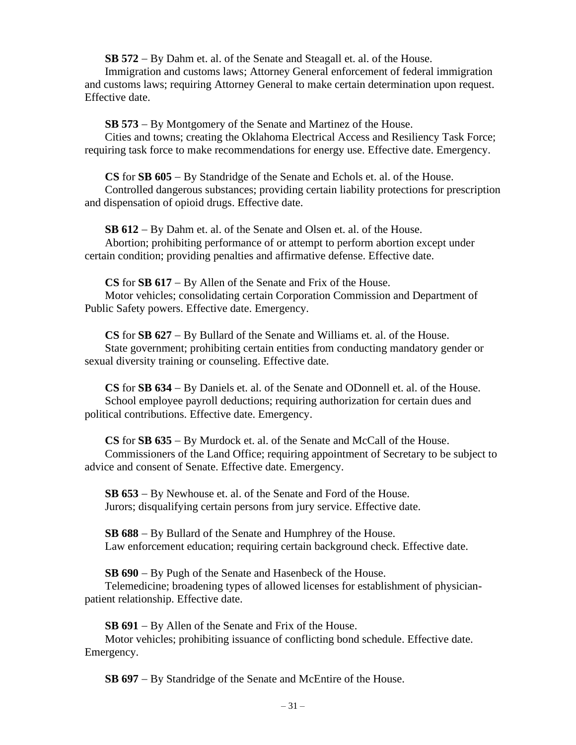**SB 572** − By Dahm et. al. of the Senate and Steagall et. al. of the House.

Immigration and customs laws; Attorney General enforcement of federal immigration and customs laws; requiring Attorney General to make certain determination upon request. Effective date.

**SB 573** − By Montgomery of the Senate and Martinez of the House.

Cities and towns; creating the Oklahoma Electrical Access and Resiliency Task Force; requiring task force to make recommendations for energy use. Effective date. Emergency.

**CS** for **SB 605** − By Standridge of the Senate and Echols et. al. of the House. Controlled dangerous substances; providing certain liability protections for prescription and dispensation of opioid drugs. Effective date.

**SB 612** − By Dahm et. al. of the Senate and Olsen et. al. of the House. Abortion; prohibiting performance of or attempt to perform abortion except under certain condition; providing penalties and affirmative defense. Effective date.

**CS** for **SB 617** − By Allen of the Senate and Frix of the House. Motor vehicles; consolidating certain Corporation Commission and Department of Public Safety powers. Effective date. Emergency.

**CS** for **SB 627** − By Bullard of the Senate and Williams et. al. of the House. State government; prohibiting certain entities from conducting mandatory gender or sexual diversity training or counseling. Effective date.

**CS** for **SB 634** − By Daniels et. al. of the Senate and ODonnell et. al. of the House. School employee payroll deductions; requiring authorization for certain dues and political contributions. Effective date. Emergency.

**CS** for **SB 635** − By Murdock et. al. of the Senate and McCall of the House. Commissioners of the Land Office; requiring appointment of Secretary to be subject to advice and consent of Senate. Effective date. Emergency.

**SB 653** − By Newhouse et. al. of the Senate and Ford of the House. Jurors; disqualifying certain persons from jury service. Effective date.

**SB 688** − By Bullard of the Senate and Humphrey of the House. Law enforcement education; requiring certain background check. Effective date.

**SB 690** − By Pugh of the Senate and Hasenbeck of the House.

Telemedicine; broadening types of allowed licenses for establishment of physicianpatient relationship. Effective date.

**SB 691** − By Allen of the Senate and Frix of the House.

Motor vehicles; prohibiting issuance of conflicting bond schedule. Effective date. Emergency.

**SB 697** − By Standridge of the Senate and McEntire of the House.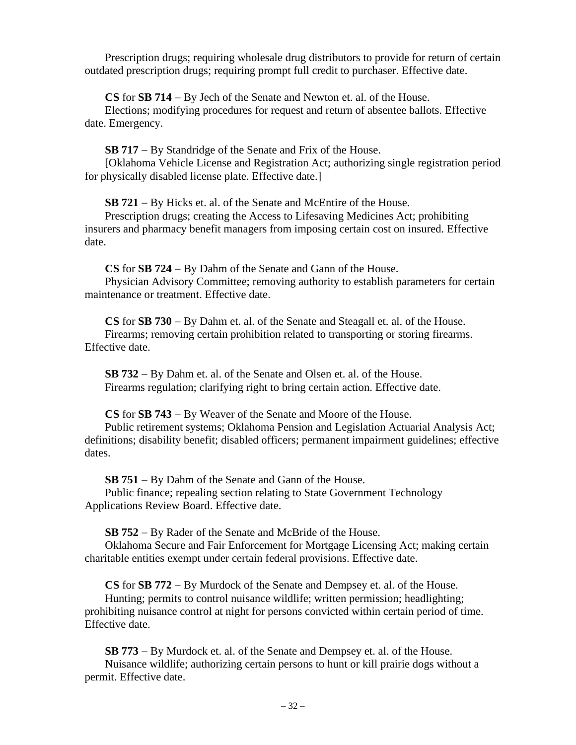Prescription drugs; requiring wholesale drug distributors to provide for return of certain outdated prescription drugs; requiring prompt full credit to purchaser. Effective date.

**CS** for **SB 714** − By Jech of the Senate and Newton et. al. of the House.

Elections; modifying procedures for request and return of absentee ballots. Effective date. Emergency.

**SB 717** − By Standridge of the Senate and Frix of the House.

[Oklahoma Vehicle License and Registration Act; authorizing single registration period for physically disabled license plate. Effective date.]

**SB 721** − By Hicks et. al. of the Senate and McEntire of the House.

Prescription drugs; creating the Access to Lifesaving Medicines Act; prohibiting insurers and pharmacy benefit managers from imposing certain cost on insured. Effective date.

**CS** for **SB 724** − By Dahm of the Senate and Gann of the House. Physician Advisory Committee; removing authority to establish parameters for certain maintenance or treatment. Effective date.

**CS** for **SB 730** − By Dahm et. al. of the Senate and Steagall et. al. of the House. Firearms; removing certain prohibition related to transporting or storing firearms. Effective date.

**SB 732** − By Dahm et. al. of the Senate and Olsen et. al. of the House. Firearms regulation; clarifying right to bring certain action. Effective date.

**CS** for **SB 743** − By Weaver of the Senate and Moore of the House.

Public retirement systems; Oklahoma Pension and Legislation Actuarial Analysis Act; definitions; disability benefit; disabled officers; permanent impairment guidelines; effective dates.

**SB 751** − By Dahm of the Senate and Gann of the House.

Public finance; repealing section relating to State Government Technology Applications Review Board. Effective date.

**SB 752** − By Rader of the Senate and McBride of the House.

Oklahoma Secure and Fair Enforcement for Mortgage Licensing Act; making certain charitable entities exempt under certain federal provisions. Effective date.

**CS** for **SB 772** − By Murdock of the Senate and Dempsey et. al. of the House.

Hunting; permits to control nuisance wildlife; written permission; headlighting; prohibiting nuisance control at night for persons convicted within certain period of time. Effective date.

**SB 773** − By Murdock et. al. of the Senate and Dempsey et. al. of the House. Nuisance wildlife; authorizing certain persons to hunt or kill prairie dogs without a permit. Effective date.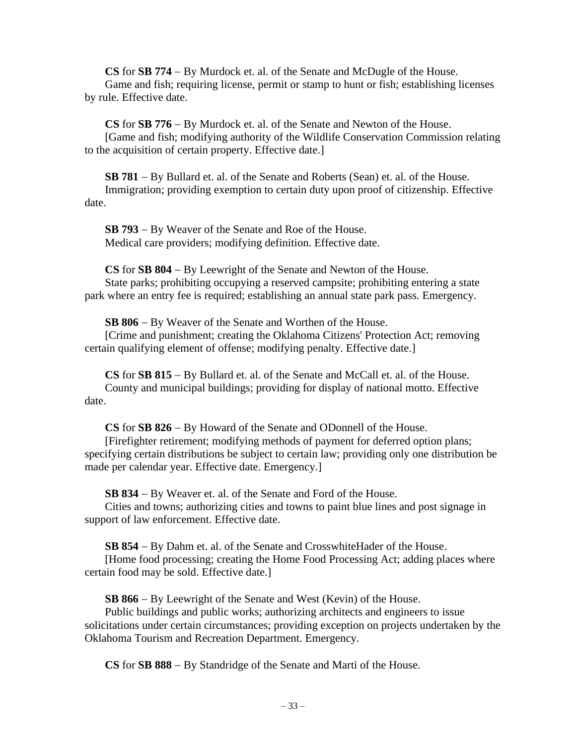**CS** for **SB 774** − By Murdock et. al. of the Senate and McDugle of the House. Game and fish; requiring license, permit or stamp to hunt or fish; establishing licenses by rule. Effective date.

**CS** for **SB 776** − By Murdock et. al. of the Senate and Newton of the House. [Game and fish; modifying authority of the Wildlife Conservation Commission relating to the acquisition of certain property. Effective date.]

**SB 781** − By Bullard et. al. of the Senate and Roberts (Sean) et. al. of the House. Immigration; providing exemption to certain duty upon proof of citizenship. Effective date.

**SB 793** − By Weaver of the Senate and Roe of the House. Medical care providers; modifying definition. Effective date.

**CS** for **SB 804** − By Leewright of the Senate and Newton of the House. State parks; prohibiting occupying a reserved campsite; prohibiting entering a state park where an entry fee is required; establishing an annual state park pass. Emergency.

**SB 806** − By Weaver of the Senate and Worthen of the House. [Crime and punishment; creating the Oklahoma Citizens' Protection Act; removing certain qualifying element of offense; modifying penalty. Effective date.]

**CS** for **SB 815** − By Bullard et. al. of the Senate and McCall et. al. of the House. County and municipal buildings; providing for display of national motto. Effective date.

**CS** for **SB 826** − By Howard of the Senate and ODonnell of the House.

[Firefighter retirement; modifying methods of payment for deferred option plans; specifying certain distributions be subject to certain law; providing only one distribution be made per calendar year. Effective date. Emergency.]

**SB 834** − By Weaver et. al. of the Senate and Ford of the House.

Cities and towns; authorizing cities and towns to paint blue lines and post signage in support of law enforcement. Effective date.

**SB 854** − By Dahm et. al. of the Senate and CrosswhiteHader of the House.

[Home food processing; creating the Home Food Processing Act; adding places where certain food may be sold. Effective date.]

**SB 866** − By Leewright of the Senate and West (Kevin) of the House.

Public buildings and public works; authorizing architects and engineers to issue solicitations under certain circumstances; providing exception on projects undertaken by the Oklahoma Tourism and Recreation Department. Emergency.

**CS** for **SB 888** − By Standridge of the Senate and Marti of the House.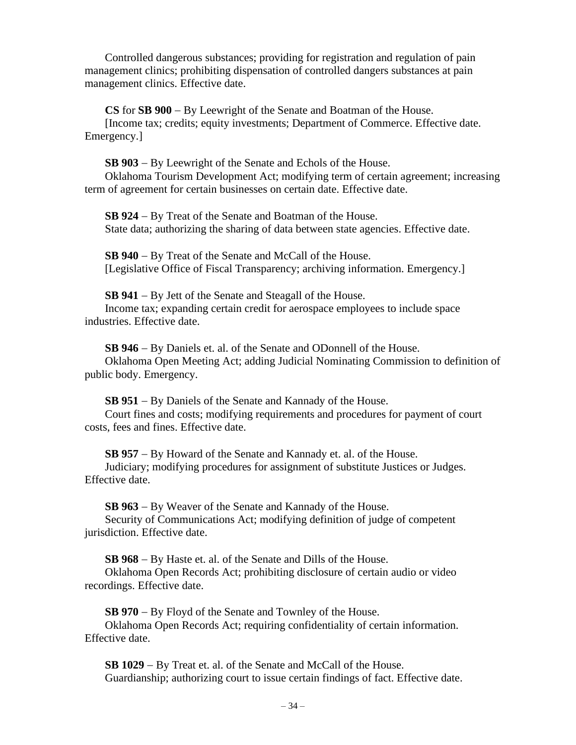Controlled dangerous substances; providing for registration and regulation of pain management clinics; prohibiting dispensation of controlled dangers substances at pain management clinics. Effective date.

**CS** for **SB 900** − By Leewright of the Senate and Boatman of the House.

[Income tax; credits; equity investments; Department of Commerce. Effective date. Emergency.]

**SB 903** − By Leewright of the Senate and Echols of the House.

Oklahoma Tourism Development Act; modifying term of certain agreement; increasing term of agreement for certain businesses on certain date. Effective date.

**SB 924** − By Treat of the Senate and Boatman of the House. State data; authorizing the sharing of data between state agencies. Effective date.

**SB 940** − By Treat of the Senate and McCall of the House. [Legislative Office of Fiscal Transparency; archiving information. Emergency.]

**SB 941** − By Jett of the Senate and Steagall of the House. Income tax; expanding certain credit for aerospace employees to include space industries. Effective date.

**SB 946** − By Daniels et. al. of the Senate and ODonnell of the House. Oklahoma Open Meeting Act; adding Judicial Nominating Commission to definition of public body. Emergency.

**SB 951** − By Daniels of the Senate and Kannady of the House. Court fines and costs; modifying requirements and procedures for payment of court costs, fees and fines. Effective date.

**SB 957** − By Howard of the Senate and Kannady et. al. of the House. Judiciary; modifying procedures for assignment of substitute Justices or Judges. Effective date.

**SB 963** − By Weaver of the Senate and Kannady of the House. Security of Communications Act; modifying definition of judge of competent jurisdiction. Effective date.

**SB 968** − By Haste et. al. of the Senate and Dills of the House.

Oklahoma Open Records Act; prohibiting disclosure of certain audio or video recordings. Effective date.

**SB 970** − By Floyd of the Senate and Townley of the House.

Oklahoma Open Records Act; requiring confidentiality of certain information. Effective date.

**SB 1029** − By Treat et. al. of the Senate and McCall of the House. Guardianship; authorizing court to issue certain findings of fact. Effective date.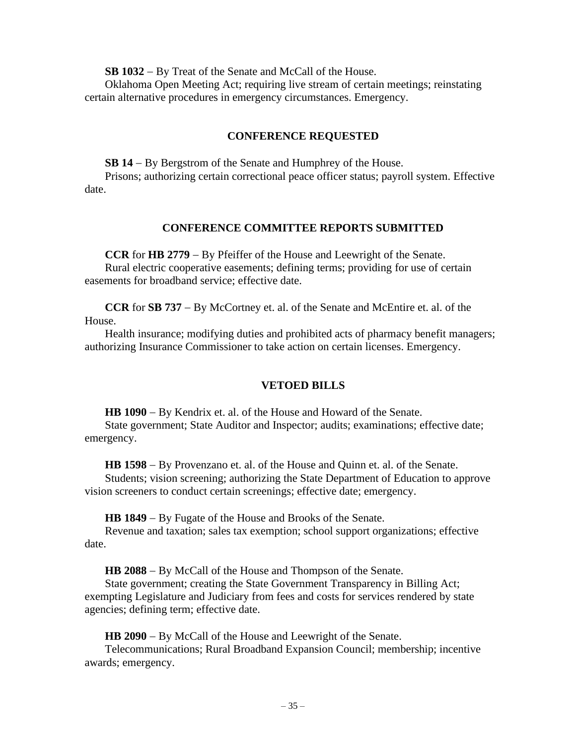**SB 1032** − By Treat of the Senate and McCall of the House.

Oklahoma Open Meeting Act; requiring live stream of certain meetings; reinstating certain alternative procedures in emergency circumstances. Emergency.

#### **CONFERENCE REQUESTED**

**SB 14** − By Bergstrom of the Senate and Humphrey of the House.

Prisons; authorizing certain correctional peace officer status; payroll system. Effective date.

#### **CONFERENCE COMMITTEE REPORTS SUBMITTED**

**CCR** for **HB 2779** − By Pfeiffer of the House and Leewright of the Senate. Rural electric cooperative easements; defining terms; providing for use of certain easements for broadband service; effective date.

**CCR** for **SB 737** − By McCortney et. al. of the Senate and McEntire et. al. of the House.

Health insurance; modifying duties and prohibited acts of pharmacy benefit managers; authorizing Insurance Commissioner to take action on certain licenses. Emergency.

#### **VETOED BILLS**

**HB 1090** − By Kendrix et. al. of the House and Howard of the Senate. State government; State Auditor and Inspector; audits; examinations; effective date; emergency.

**HB 1598** − By Provenzano et. al. of the House and Quinn et. al. of the Senate. Students; vision screening; authorizing the State Department of Education to approve vision screeners to conduct certain screenings; effective date; emergency.

**HB 1849** − By Fugate of the House and Brooks of the Senate.

Revenue and taxation; sales tax exemption; school support organizations; effective date.

**HB 2088** − By McCall of the House and Thompson of the Senate.

State government; creating the State Government Transparency in Billing Act; exempting Legislature and Judiciary from fees and costs for services rendered by state agencies; defining term; effective date.

**HB 2090** − By McCall of the House and Leewright of the Senate.

Telecommunications; Rural Broadband Expansion Council; membership; incentive awards; emergency.